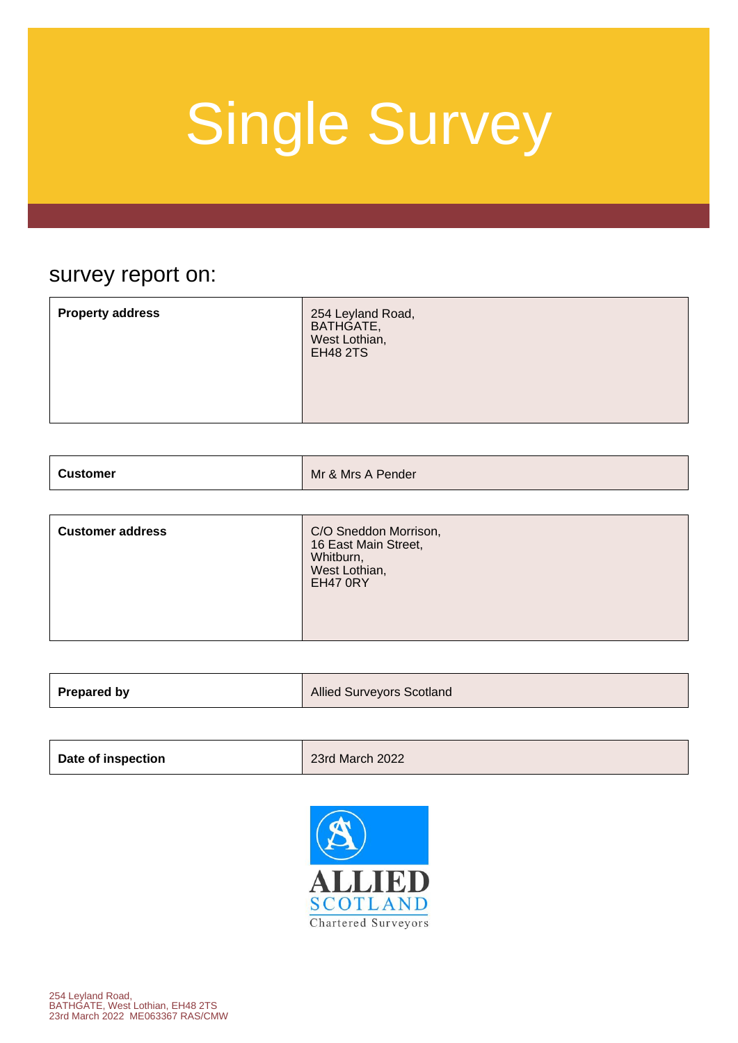### survey report on:

| BATHGATE,<br>West Lothian,<br><b>EH48 2TS</b> | <b>Property address</b> | 254 Leyland Road, |
|-----------------------------------------------|-------------------------|-------------------|
|                                               |                         |                   |

| Customer | Mr & Mrs A Pender |
|----------|-------------------|
|          |                   |

| <b>Customer address</b> | C/O Sneddon Morrison,<br>16 East Main Street,<br>Whitburn,<br>West Lothian,<br><b>EH47 0RY</b> |
|-------------------------|------------------------------------------------------------------------------------------------|
|-------------------------|------------------------------------------------------------------------------------------------|

| <b>Prepared by</b> | <b>Allied Surveyors Scotland</b> |
|--------------------|----------------------------------|
|                    |                                  |

| Date of inspection | 23rd March 2022 |
|--------------------|-----------------|
|                    |                 |

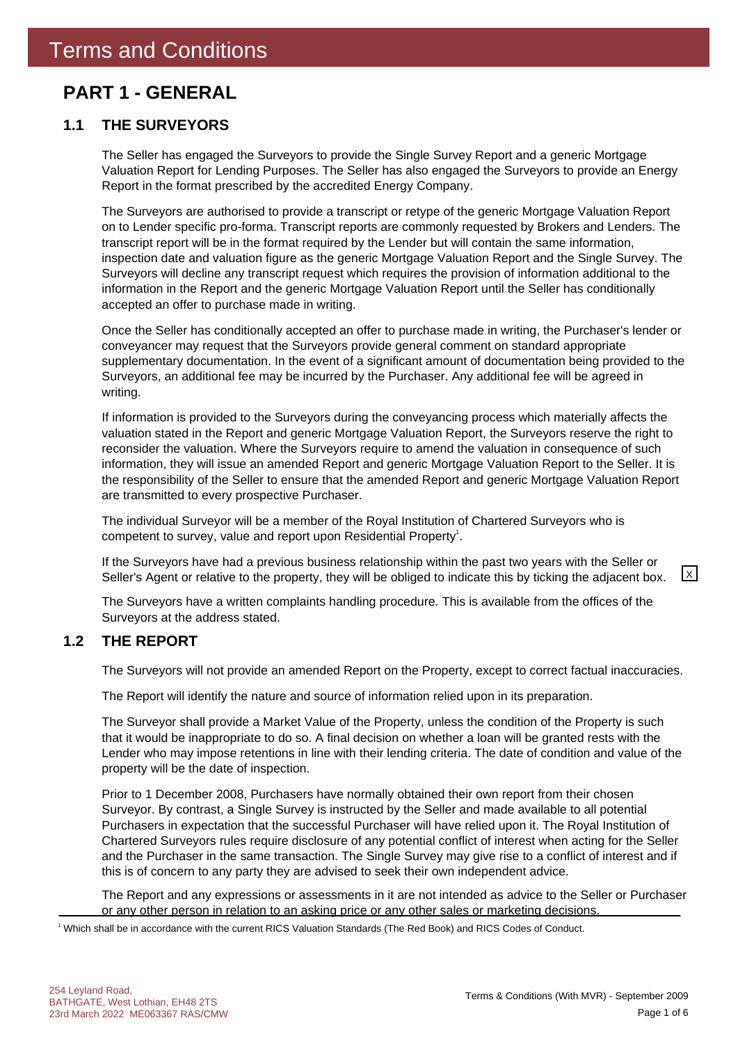### **PART 1 - GENERAL**

#### **1.1 THE SURVEYORS**

The Seller has engaged the Surveyors to provide the Single Survey Report and a generic Mortgage Valuation Report for Lending Purposes. The Seller has also engaged the Surveyors to provide an Energy Report in the format prescribed by the accredited Energy Company.

The Surveyors are authorised to provide a transcript or retype of the generic Mortgage Valuation Report on to Lender specific pro-forma. Transcript reports are commonly requested by Brokers and Lenders. The transcript report will be in the format required by the Lender but will contain the same information, inspection date and valuation figure as the generic Mortgage Valuation Report and the Single Survey. The Surveyors will decline any transcript request which requires the provision of information additional to the information in the Report and the generic Mortgage Valuation Report until the Seller has conditionally accepted an offer to purchase made in writing.

Once the Seller has conditionally accepted an offer to purchase made in writing, the Purchaser's lender or conveyancer may request that the Surveyors provide general comment on standard appropriate supplementary documentation. In the event of a significant amount of documentation being provided to the Surveyors, an additional fee may be incurred by the Purchaser. Any additional fee will be agreed in writing.

If information is provided to the Surveyors during the conveyancing process which materially affects the valuation stated in the Report and generic Mortgage Valuation Report, the Surveyors reserve the right to reconsider the valuation. Where the Surveyors require to amend the valuation in consequence of such information, they will issue an amended Report and generic Mortgage Valuation Report to the Seller. It is the responsibility of the Seller to ensure that the amended Report and generic Mortgage Valuation Report are transmitted to every prospective Purchaser.

The individual Surveyor will be a member of the Royal Institution of Chartered Surveyors who is competent to survey, value and report upon Residential Property<sup>1</sup>.

If the Surveyors have had a previous business relationship within the past two years with the Seller or Seller's Agent or relative to the property, they will be obliged to indicate this by ticking the adjacent box.  $\boxed{\times}$ 

The Surveyors have a written complaints handling procedure. This is available from the offices of the Surveyors at the address stated.

#### **1.2 THE REPORT**

The Surveyors will not provide an amended Report on the Property, except to correct factual inaccuracies.

The Report will identify the nature and source of information relied upon in its preparation.

The Surveyor shall provide a Market Value of the Property, unless the condition of the Property is such that it would be inappropriate to do so. A final decision on whether a loan will be granted rests with the Lender who may impose retentions in line with their lending criteria. The date of condition and value of the property will be the date of inspection.

Prior to 1 December 2008, Purchasers have normally obtained their own report from their chosen Surveyor. By contrast, a Single Survey is instructed by the Seller and made available to all potential Purchasers in expectation that the successful Purchaser will have relied upon it. The Royal Institution of Chartered Surveyors rules require disclosure of any potential conflict of interest when acting for the Seller and the Purchaser in the same transaction. The Single Survey may give rise to a conflict of interest and if this is of concern to any party they are advised to seek their own independent advice.

The Report and any expressions or assessments in it are not intended as advice to the Seller or Purchaser or any other person in relation to an asking price or any other sales or marketing decisions.

1 Which shall be in accordance with the current RICS Valuation Standards (The Red Book) and RICS Codes of Conduct.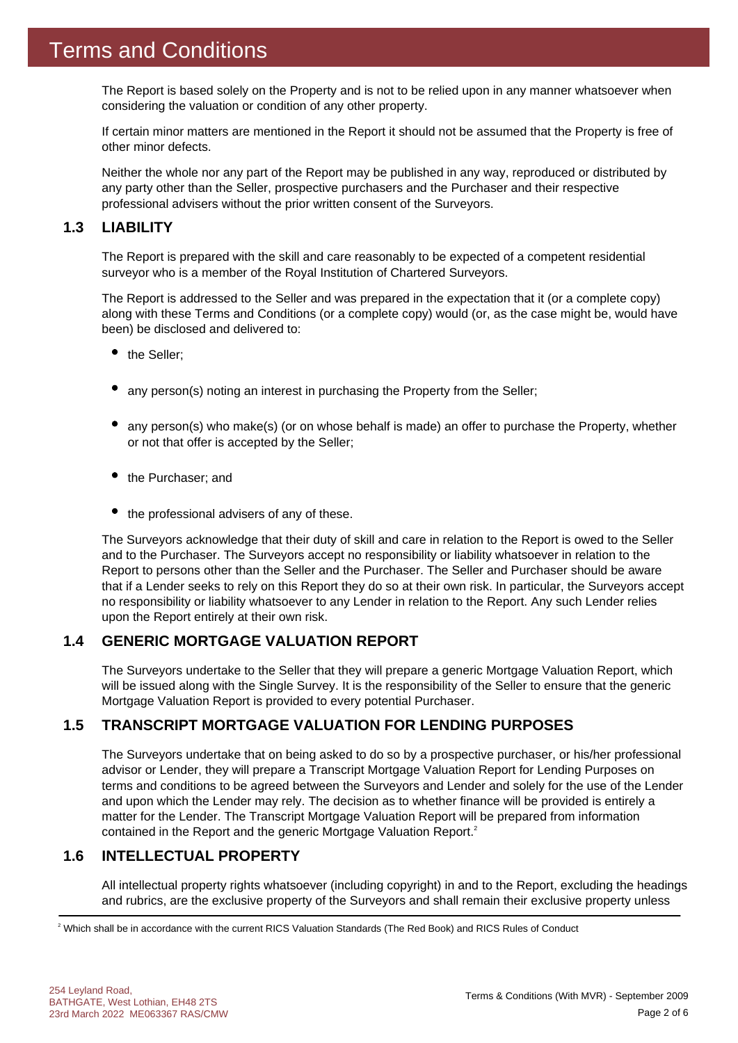The Report is based solely on the Property and is not to be relied upon in any manner whatsoever when considering the valuation or condition of any other property.

If certain minor matters are mentioned in the Report it should not be assumed that the Property is free of other minor defects.

Neither the whole nor any part of the Report may be published in any way, reproduced or distributed by any party other than the Seller, prospective purchasers and the Purchaser and their respective professional advisers without the prior written consent of the Surveyors.

#### **1.3 LIABILITY**

The Report is prepared with the skill and care reasonably to be expected of a competent residential surveyor who is a member of the Royal Institution of Chartered Surveyors.

The Report is addressed to the Seller and was prepared in the expectation that it (or a complete copy) along with these Terms and Conditions (or a complete copy) would (or, as the case might be, would have been) be disclosed and delivered to:

- the Seller:
- any person(s) noting an interest in purchasing the Property from the Seller;
- any person(s) who make(s) (or on whose behalf is made) an offer to purchase the Property, whether or not that offer is accepted by the Seller;
- the Purchaser; and
- $\bullet$  the professional advisers of any of these.

The Surveyors acknowledge that their duty of skill and care in relation to the Report is owed to the Seller and to the Purchaser. The Surveyors accept no responsibility or liability whatsoever in relation to the Report to persons other than the Seller and the Purchaser. The Seller and Purchaser should be aware that if a Lender seeks to rely on this Report they do so at their own risk. In particular, the Surveyors accept no responsibility or liability whatsoever to any Lender in relation to the Report. Any such Lender relies upon the Report entirely at their own risk.

#### **1.4 GENERIC MORTGAGE VALUATION REPORT**

The Surveyors undertake to the Seller that they will prepare a generic Mortgage Valuation Report, which will be issued along with the Single Survey. It is the responsibility of the Seller to ensure that the generic Mortgage Valuation Report is provided to every potential Purchaser.

#### **1.5 TRANSCRIPT MORTGAGE VALUATION FOR LENDING PURPOSES**

The Surveyors undertake that on being asked to do so by a prospective purchaser, or his/her professional advisor or Lender, they will prepare a Transcript Mortgage Valuation Report for Lending Purposes on terms and conditions to be agreed between the Surveyors and Lender and solely for the use of the Lender and upon which the Lender may rely. The decision as to whether finance will be provided is entirely a matter for the Lender. The Transcript Mortgage Valuation Report will be prepared from information contained in the Report and the generic Mortgage Valuation Report.<sup>2</sup>

#### **1.6 INTELLECTUAL PROPERTY**

All intellectual property rights whatsoever (including copyright) in and to the Report, excluding the headings and rubrics, are the exclusive property of the Surveyors and shall remain their exclusive property unless

2 Which shall be in accordance with the current RICS Valuation Standards (The Red Book) and RICS Rules of Conduct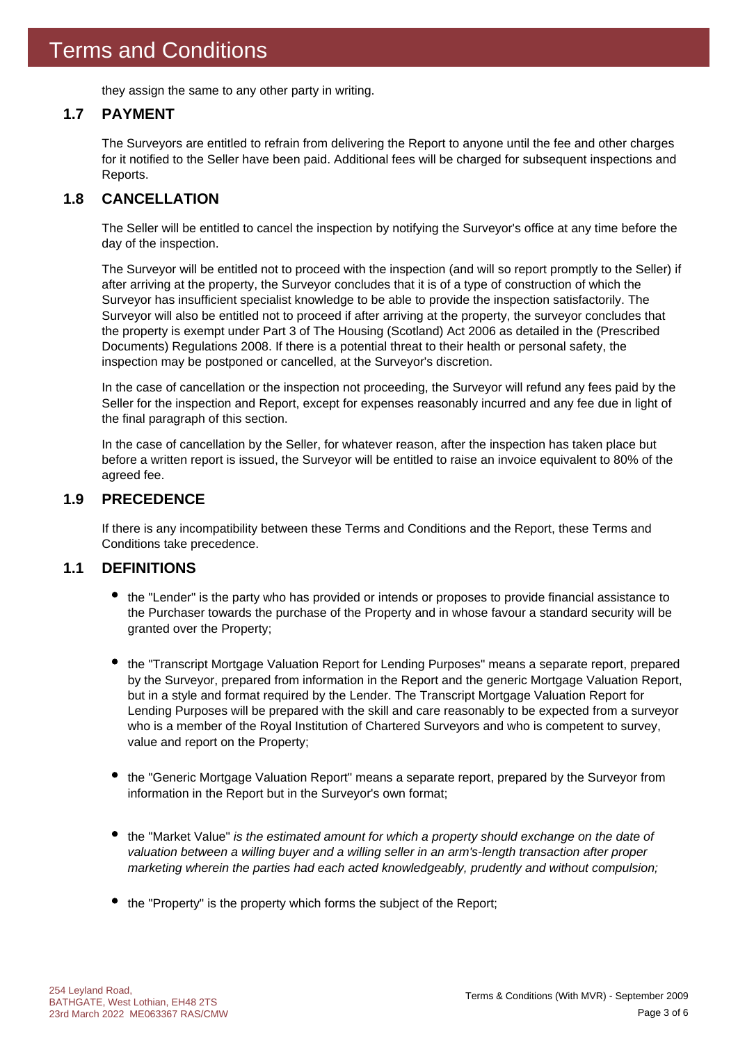they assign the same to any other party in writing.

#### **1.7 PAYMENT**

The Surveyors are entitled to refrain from delivering the Report to anyone until the fee and other charges for it notified to the Seller have been paid. Additional fees will be charged for subsequent inspections and Reports.

#### **1.8 CANCELLATION**

The Seller will be entitled to cancel the inspection by notifying the Surveyor's office at any time before the day of the inspection.

The Surveyor will be entitled not to proceed with the inspection (and will so report promptly to the Seller) if after arriving at the property, the Surveyor concludes that it is of a type of construction of which the Surveyor has insufficient specialist knowledge to be able to provide the inspection satisfactorily. The Surveyor will also be entitled not to proceed if after arriving at the property, the surveyor concludes that the property is exempt under Part 3 of The Housing (Scotland) Act 2006 as detailed in the (Prescribed Documents) Regulations 2008. If there is a potential threat to their health or personal safety, the inspection may be postponed or cancelled, at the Surveyor's discretion.

In the case of cancellation or the inspection not proceeding, the Surveyor will refund any fees paid by the Seller for the inspection and Report, except for expenses reasonably incurred and any fee due in light of the final paragraph of this section.

In the case of cancellation by the Seller, for whatever reason, after the inspection has taken place but before a written report is issued, the Surveyor will be entitled to raise an invoice equivalent to 80% of the agreed fee.

#### **1.9 PRECEDENCE**

If there is any incompatibility between these Terms and Conditions and the Report, these Terms and Conditions take precedence.

#### **1.1 DEFINITIONS**

- the "Lender" is the party who has provided or intends or proposes to provide financial assistance to the Purchaser towards the purchase of the Property and in whose favour a standard security will be granted over the Property;
- the "Transcript Mortgage Valuation Report for Lending Purposes" means a separate report, prepared by the Surveyor, prepared from information in the Report and the generic Mortgage Valuation Report, but in a style and format required by the Lender. The Transcript Mortgage Valuation Report for Lending Purposes will be prepared with the skill and care reasonably to be expected from a surveyor who is a member of the Royal Institution of Chartered Surveyors and who is competent to survey, value and report on the Property;
- the "Generic Mortgage Valuation Report" means a separate report, prepared by the Surveyor from information in the Report but in the Surveyor's own format;
- the "Market Value" *is the estimated amount for which a property should exchange on the date of valuation between a willing buyer and a willing seller in an arm's-length transaction after proper marketing wherein the parties had each acted knowledgeably, prudently and without compulsion;*
- the "Property" is the property which forms the subject of the Report;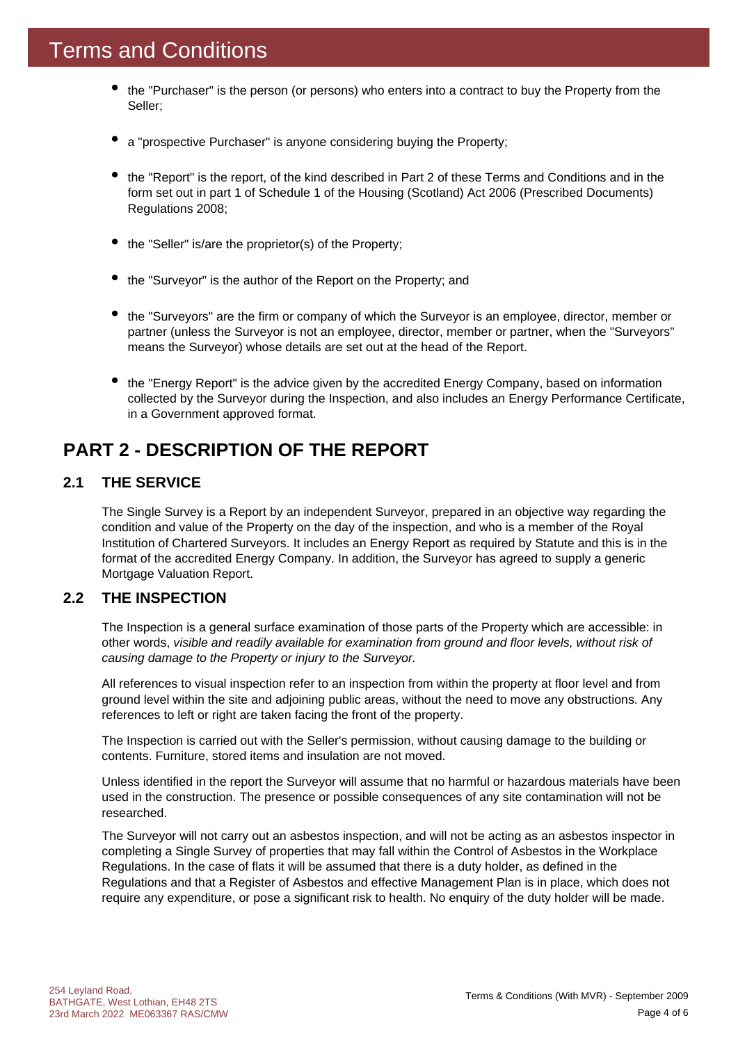- the "Purchaser" is the person (or persons) who enters into a contract to buy the Property from the Seller;
- a "prospective Purchaser" is anyone considering buying the Property;
- the "Report" is the report, of the kind described in Part 2 of these Terms and Conditions and in the form set out in part 1 of Schedule 1 of the Housing (Scotland) Act 2006 (Prescribed Documents) Regulations 2008;
- the "Seller" is/are the proprietor(s) of the Property;
- the "Surveyor" is the author of the Report on the Property; and
- the "Surveyors" are the firm or company of which the Surveyor is an employee, director, member or partner (unless the Surveyor is not an employee, director, member or partner, when the "Surveyors" means the Surveyor) whose details are set out at the head of the Report.
- the "Energy Report" is the advice given by the accredited Energy Company, based on information collected by the Surveyor during the Inspection, and also includes an Energy Performance Certificate, in a Government approved format.

### **PART 2 - DESCRIPTION OF THE REPORT**

#### **2.1 THE SERVICE**

The Single Survey is a Report by an independent Surveyor, prepared in an objective way regarding the condition and value of the Property on the day of the inspection, and who is a member of the Royal Institution of Chartered Surveyors. It includes an Energy Report as required by Statute and this is in the format of the accredited Energy Company. In addition, the Surveyor has agreed to supply a generic Mortgage Valuation Report.

#### **2.2 THE INSPECTION**

The Inspection is a general surface examination of those parts of the Property which are accessible: in other words, *visible and readily available for examination from ground and floor levels, without risk of causing damage to the Property or injury to the Surveyor.*

All references to visual inspection refer to an inspection from within the property at floor level and from ground level within the site and adjoining public areas, without the need to move any obstructions. Any references to left or right are taken facing the front of the property.

The Inspection is carried out with the Seller's permission, without causing damage to the building or contents. Furniture, stored items and insulation are not moved.

Unless identified in the report the Surveyor will assume that no harmful or hazardous materials have been used in the construction. The presence or possible consequences of any site contamination will not be researched.

The Surveyor will not carry out an asbestos inspection, and will not be acting as an asbestos inspector in completing a Single Survey of properties that may fall within the Control of Asbestos in the Workplace Regulations. In the case of flats it will be assumed that there is a duty holder, as defined in the Regulations and that a Register of Asbestos and effective Management Plan is in place, which does not require any expenditure, or pose a significant risk to health. No enquiry of the duty holder will be made.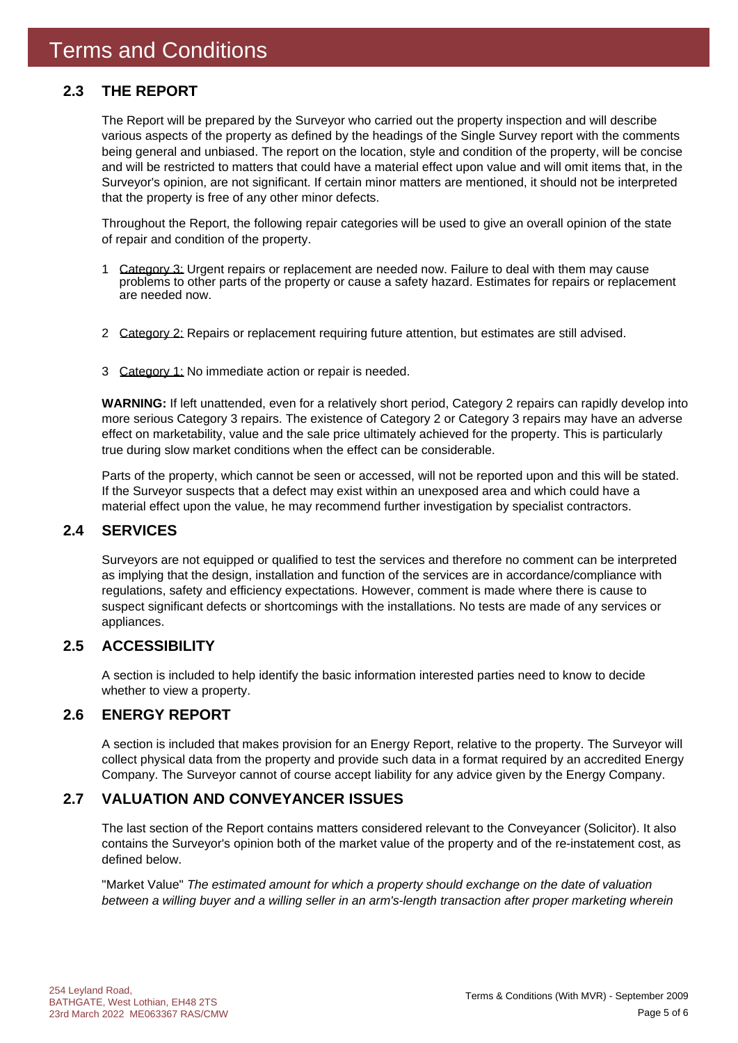#### **2.3 THE REPORT**

The Report will be prepared by the Surveyor who carried out the property inspection and will describe various aspects of the property as defined by the headings of the Single Survey report with the comments being general and unbiased. The report on the location, style and condition of the property, will be concise and will be restricted to matters that could have a material effect upon value and will omit items that, in the Surveyor's opinion, are not significant. If certain minor matters are mentioned, it should not be interpreted that the property is free of any other minor defects.

Throughout the Report, the following repair categories will be used to give an overall opinion of the state of repair and condition of the property.

- 1 Category 3: Urgent repairs or replacement are needed now. Failure to deal with them may cause problems to other parts of the property or cause a safety hazard. Estimates for repairs or replacement are needed now.
- 2 Category 2: Repairs or replacement requiring future attention, but estimates are still advised.
- 3 Category 1: No immediate action or repair is needed.

**WARNING:** If left unattended, even for a relatively short period, Category 2 repairs can rapidly develop into more serious Category 3 repairs. The existence of Category 2 or Category 3 repairs may have an adverse effect on marketability, value and the sale price ultimately achieved for the property. This is particularly true during slow market conditions when the effect can be considerable.

Parts of the property, which cannot be seen or accessed, will not be reported upon and this will be stated. If the Surveyor suspects that a defect may exist within an unexposed area and which could have a material effect upon the value, he may recommend further investigation by specialist contractors.

#### **2.4 SERVICES**

Surveyors are not equipped or qualified to test the services and therefore no comment can be interpreted as implying that the design, installation and function of the services are in accordance/compliance with regulations, safety and efficiency expectations. However, comment is made where there is cause to suspect significant defects or shortcomings with the installations. No tests are made of any services or appliances.

#### **2.5 ACCESSIBILITY**

A section is included to help identify the basic information interested parties need to know to decide whether to view a property.

#### **2.6 ENERGY REPORT**

A section is included that makes provision for an Energy Report, relative to the property. The Surveyor will collect physical data from the property and provide such data in a format required by an accredited Energy Company. The Surveyor cannot of course accept liability for any advice given by the Energy Company.

#### **2.7 VALUATION AND CONVEYANCER ISSUES**

The last section of the Report contains matters considered relevant to the Conveyancer (Solicitor). It also contains the Surveyor's opinion both of the market value of the property and of the re-instatement cost, as defined below.

"Market Value" *The estimated amount for which a property should exchange on the date of valuation between a willing buyer and a willing seller in an arm's-length transaction after proper marketing wherein*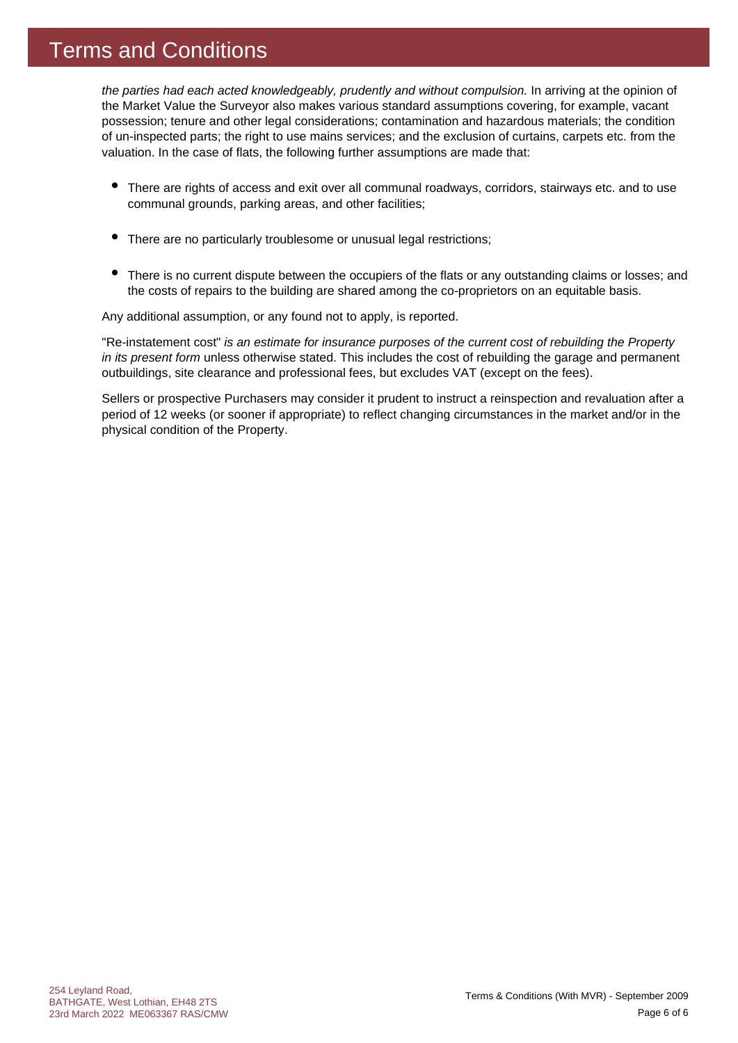### Terms and Conditions

*the parties had each acted knowledgeably, prudently and without compulsion.* In arriving at the opinion of the Market Value the Surveyor also makes various standard assumptions covering, for example, vacant possession; tenure and other legal considerations; contamination and hazardous materials; the condition of un-inspected parts; the right to use mains services; and the exclusion of curtains, carpets etc. from the valuation. In the case of flats, the following further assumptions are made that:

- There are rights of access and exit over all communal roadways, corridors, stairways etc. and to use communal grounds, parking areas, and other facilities;
- $\bullet$ There are no particularly troublesome or unusual legal restrictions;
- There is no current dispute between the occupiers of the flats or any outstanding claims or losses; and the costs of repairs to the building are shared among the co-proprietors on an equitable basis.

Any additional assumption, or any found not to apply, is reported.

"Re-instatement cost" *is an estimate for insurance purposes of the current cost of rebuilding the Property in its present form* unless otherwise stated. This includes the cost of rebuilding the garage and permanent outbuildings, site clearance and professional fees, but excludes VAT (except on the fees).

Sellers or prospective Purchasers may consider it prudent to instruct a reinspection and revaluation after a period of 12 weeks (or sooner if appropriate) to reflect changing circumstances in the market and/or in the physical condition of the Property.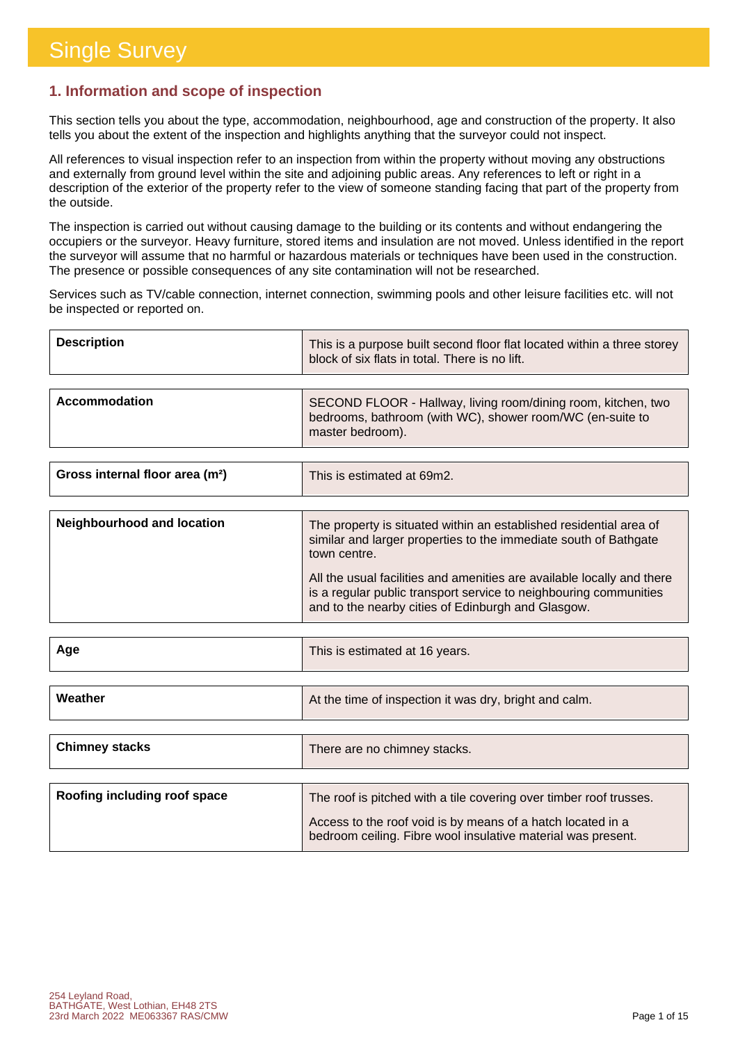#### **1. Information and scope of inspection**

This section tells you about the type, accommodation, neighbourhood, age and construction of the property. It also tells you about the extent of the inspection and highlights anything that the surveyor could not inspect.

All references to visual inspection refer to an inspection from within the property without moving any obstructions and externally from ground level within the site and adjoining public areas. Any references to left or right in a description of the exterior of the property refer to the view of someone standing facing that part of the property from the outside.

The inspection is carried out without causing damage to the building or its contents and without endangering the occupiers or the surveyor. Heavy furniture, stored items and insulation are not moved. Unless identified in the report the surveyor will assume that no harmful or hazardous materials or techniques have been used in the construction. The presence or possible consequences of any site contamination will not be researched.

Services such as TV/cable connection, internet connection, swimming pools and other leisure facilities etc. will not be inspected or reported on.

| <b>Description</b> | This is a purpose built second floor flat located within a three storey<br>block of six flats in total. There is no lift.                      |
|--------------------|------------------------------------------------------------------------------------------------------------------------------------------------|
|                    |                                                                                                                                                |
| Accommodation      | SECOND FLOOR - Hallway, living room/dining room, kitchen, two<br>bedrooms, bathroom (with WC), shower room/WC (en-suite to<br>master bedroom). |

| Gross internal floor area (m <sup>2</sup> ) | This is estimated at 69m2. |
|---------------------------------------------|----------------------------|
|                                             |                            |

| Neighbourhood and location | The property is situated within an established residential area of<br>similar and larger properties to the immediate south of Bathgate<br>town centre.                                            |
|----------------------------|---------------------------------------------------------------------------------------------------------------------------------------------------------------------------------------------------|
|                            | All the usual facilities and amenities are available locally and there<br>is a regular public transport service to neighbouring communities<br>and to the nearby cities of Edinburgh and Glasgow. |

| Age                          | This is estimated at 16 years.                                                                                              |
|------------------------------|-----------------------------------------------------------------------------------------------------------------------------|
|                              |                                                                                                                             |
| Weather                      | At the time of inspection it was dry, bright and calm.                                                                      |
|                              |                                                                                                                             |
| <b>Chimney stacks</b>        | There are no chimney stacks.                                                                                                |
|                              |                                                                                                                             |
| Roofing including roof space | The roof is pitched with a tile covering over timber roof trusses.                                                          |
|                              | Access to the roof void is by means of a hatch located in a<br>bedroom ceiling. Fibre wool insulative material was present. |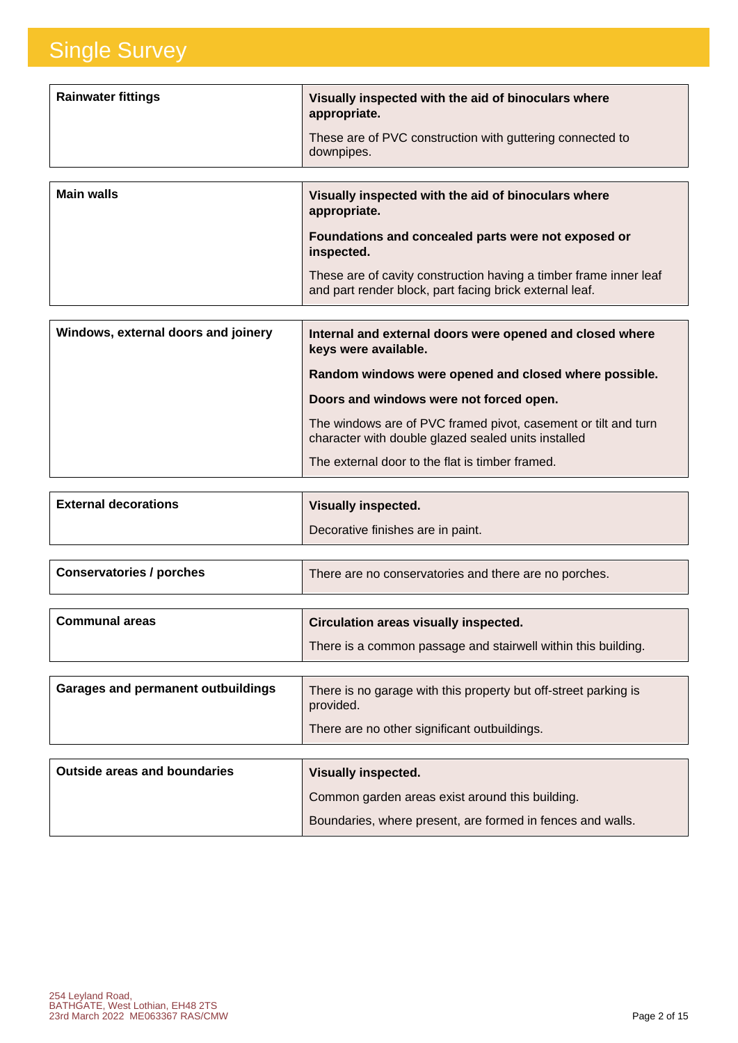| <b>Rainwater fittings</b> | Visually inspected with the aid of binoculars where<br>appropriate.<br>These are of PVC construction with guttering connected to<br>downpipes. |
|---------------------------|------------------------------------------------------------------------------------------------------------------------------------------------|
| <b>Main walls</b>         | Visually inspected with the aid of binoculars where<br>appropriate.<br>Foundations and concealed parts were not exposed or<br>inspected.       |

These are of cavity construction having a timber frame inner leaf and part render block, part facing brick external leaf.

| Windows, external doors and joinery | Internal and external doors were opened and closed where<br>keys were available.                                      |
|-------------------------------------|-----------------------------------------------------------------------------------------------------------------------|
|                                     | Random windows were opened and closed where possible.                                                                 |
|                                     | Doors and windows were not forced open.                                                                               |
|                                     | The windows are of PVC framed pivot, casement or tilt and turn<br>character with double glazed sealed units installed |
|                                     | The external door to the flat is timber framed.                                                                       |

| <b>External decorations</b> | <b>Visually inspected.</b>        |
|-----------------------------|-----------------------------------|
|                             | Decorative finishes are in paint. |

| <b>Conservatories / porches</b> | There are no conservatories and there are no porches. |
|---------------------------------|-------------------------------------------------------|
|                                 |                                                       |

| <b>Communal areas</b>                     | Circulation areas visually inspected.<br>There is a common passage and stairwell within this building.                       |
|-------------------------------------------|------------------------------------------------------------------------------------------------------------------------------|
| <b>Garages and permanent outbuildings</b> | There is no garage with this property but off-street parking is<br>provided.<br>There are no other significant outbuildings. |

| <b>Outside areas and boundaries</b> | <b>Visually inspected.</b>                                 |
|-------------------------------------|------------------------------------------------------------|
|                                     | Common garden areas exist around this building.            |
|                                     | Boundaries, where present, are formed in fences and walls. |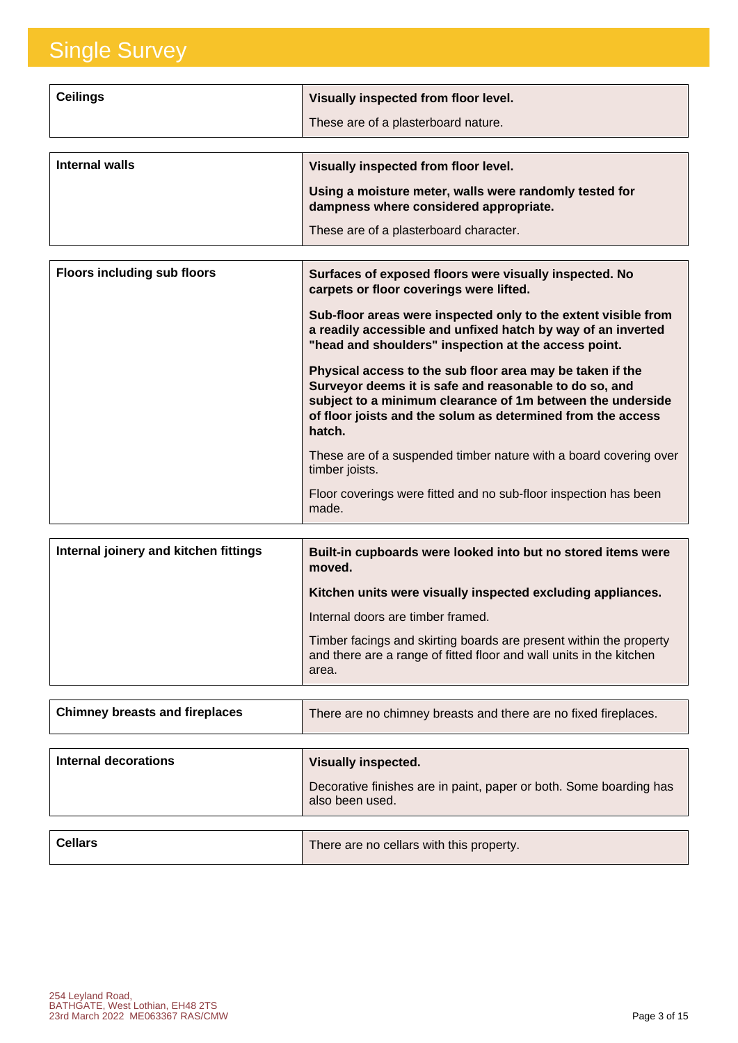| <b>Ceilings</b> | Visually inspected from floor level.<br>These are of a plasterboard nature.                                                                                                        |
|-----------------|------------------------------------------------------------------------------------------------------------------------------------------------------------------------------------|
| Internal walls  | Visually inspected from floor level.<br>Using a moisture meter, walls were randomly tested for<br>dampness where considered appropriate.<br>These are of a plasterboard character. |

| <b>Floors including sub floors</b> | Surfaces of exposed floors were visually inspected. No<br>carpets or floor coverings were lifted.                                                                                                                                                          |
|------------------------------------|------------------------------------------------------------------------------------------------------------------------------------------------------------------------------------------------------------------------------------------------------------|
|                                    | Sub-floor areas were inspected only to the extent visible from<br>a readily accessible and unfixed hatch by way of an inverted<br>"head and shoulders" inspection at the access point.                                                                     |
|                                    | Physical access to the sub floor area may be taken if the<br>Surveyor deems it is safe and reasonable to do so, and<br>subject to a minimum clearance of 1m between the underside<br>of floor joists and the solum as determined from the access<br>hatch. |
|                                    | These are of a suspended timber nature with a board covering over<br>timber joists.                                                                                                                                                                        |
|                                    | Floor coverings were fitted and no sub-floor inspection has been<br>made.                                                                                                                                                                                  |

| Internal joinery and kitchen fittings | Built-in cupboards were looked into but no stored items were<br>moved.                                                                             |
|---------------------------------------|----------------------------------------------------------------------------------------------------------------------------------------------------|
|                                       | Kitchen units were visually inspected excluding appliances.                                                                                        |
|                                       | Internal doors are timber framed.                                                                                                                  |
|                                       | Timber facings and skirting boards are present within the property<br>and there are a range of fitted floor and wall units in the kitchen<br>area. |

| <b>Chimney breasts and fireplaces</b> | There are no chimney breasts and there are no fixed fireplaces.                       |
|---------------------------------------|---------------------------------------------------------------------------------------|
|                                       |                                                                                       |
| Internal decorations                  | <b>Visually inspected.</b>                                                            |
|                                       | Decorative finishes are in paint, paper or both. Some boarding has<br>also been used. |
|                                       |                                                                                       |

| <b>Cellars</b> | There are no cellars with this property. |
|----------------|------------------------------------------|
|                |                                          |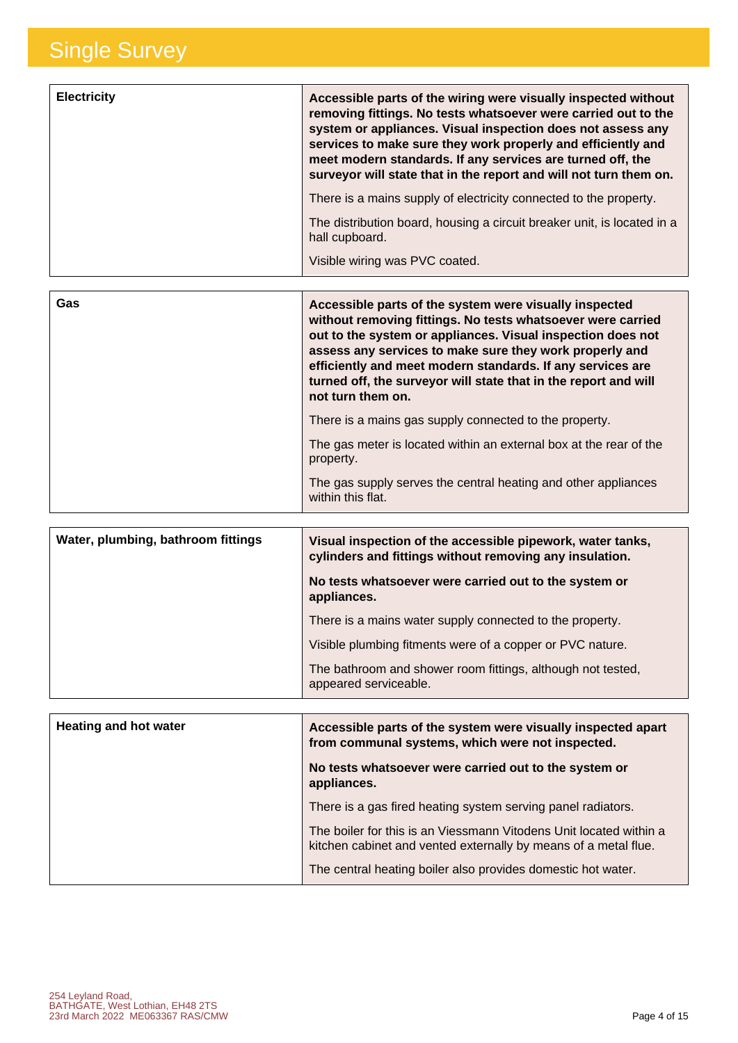| <b>Electricity</b> | Accessible parts of the wiring were visually inspected without<br>removing fittings. No tests whatsoever were carried out to the<br>system or appliances. Visual inspection does not assess any<br>services to make sure they work properly and efficiently and<br>meet modern standards. If any services are turned off, the<br>surveyor will state that in the report and will not turn them on. |
|--------------------|----------------------------------------------------------------------------------------------------------------------------------------------------------------------------------------------------------------------------------------------------------------------------------------------------------------------------------------------------------------------------------------------------|
|                    | There is a mains supply of electricity connected to the property.                                                                                                                                                                                                                                                                                                                                  |
|                    | The distribution board, housing a circuit breaker unit, is located in a<br>hall cupboard.                                                                                                                                                                                                                                                                                                          |
|                    | Visible wiring was PVC coated.                                                                                                                                                                                                                                                                                                                                                                     |

| Gas | Accessible parts of the system were visually inspected<br>without removing fittings. No tests whatsoever were carried<br>out to the system or appliances. Visual inspection does not<br>assess any services to make sure they work properly and<br>efficiently and meet modern standards. If any services are<br>turned off, the surveyor will state that in the report and will<br>not turn them on. |
|-----|-------------------------------------------------------------------------------------------------------------------------------------------------------------------------------------------------------------------------------------------------------------------------------------------------------------------------------------------------------------------------------------------------------|
|     | There is a mains gas supply connected to the property.                                                                                                                                                                                                                                                                                                                                                |
|     | The gas meter is located within an external box at the rear of the<br>property.                                                                                                                                                                                                                                                                                                                       |
|     | The gas supply serves the central heating and other appliances<br>within this flat.                                                                                                                                                                                                                                                                                                                   |

| Water, plumbing, bathroom fittings | Visual inspection of the accessible pipework, water tanks,<br>cylinders and fittings without removing any insulation. |
|------------------------------------|-----------------------------------------------------------------------------------------------------------------------|
|                                    | No tests whatsoever were carried out to the system or<br>appliances.                                                  |
|                                    | There is a mains water supply connected to the property.                                                              |
|                                    | Visible plumbing fitments were of a copper or PVC nature.                                                             |
|                                    | The bathroom and shower room fittings, although not tested,<br>appeared serviceable.                                  |

| <b>Heating and hot water</b> | Accessible parts of the system were visually inspected apart<br>from communal systems, which were not inspected.                      |
|------------------------------|---------------------------------------------------------------------------------------------------------------------------------------|
|                              | No tests whatsoever were carried out to the system or<br>appliances.                                                                  |
|                              | There is a gas fired heating system serving panel radiators.                                                                          |
|                              | The boiler for this is an Viessmann Vitodens Unit located within a<br>kitchen cabinet and vented externally by means of a metal flue. |
|                              | The central heating boiler also provides domestic hot water.                                                                          |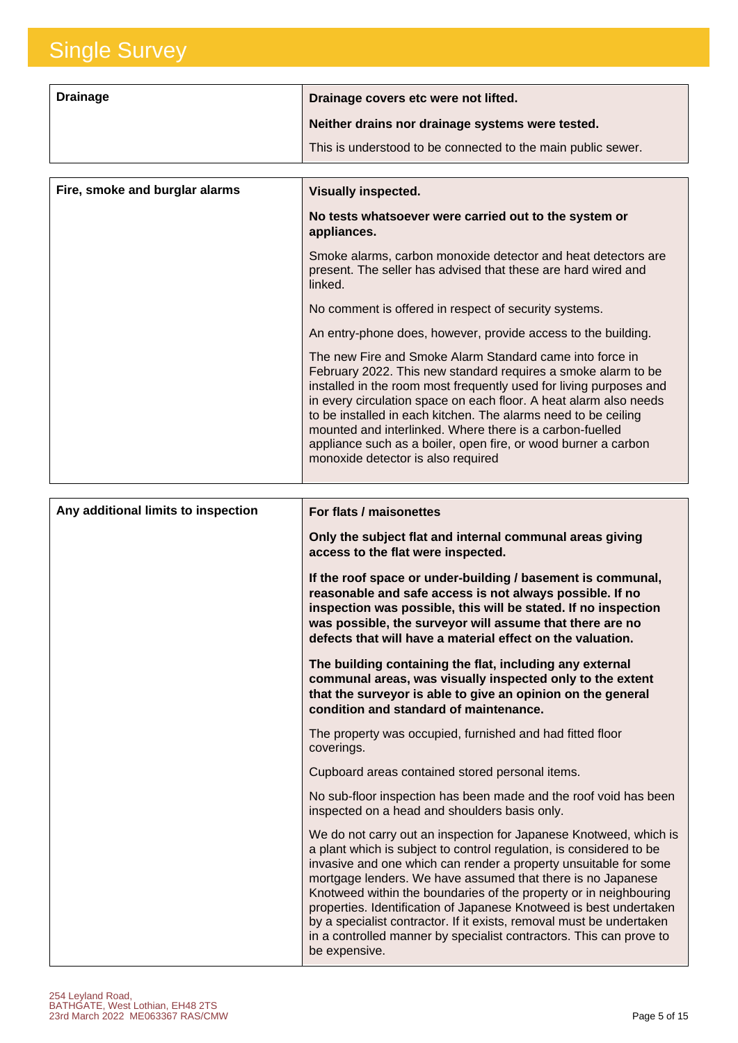| <b>Drainage</b> | Drainage covers etc were not lifted.                         |
|-----------------|--------------------------------------------------------------|
|                 | Neither drains nor drainage systems were tested.             |
|                 | This is understood to be connected to the main public sewer. |

| Fire, smoke and burglar alarms | <b>Visually inspected.</b>                                                                                                                                                                                                                                                                                                                                                                                                                                                                                 |
|--------------------------------|------------------------------------------------------------------------------------------------------------------------------------------------------------------------------------------------------------------------------------------------------------------------------------------------------------------------------------------------------------------------------------------------------------------------------------------------------------------------------------------------------------|
|                                | No tests whatsoever were carried out to the system or<br>appliances.                                                                                                                                                                                                                                                                                                                                                                                                                                       |
|                                | Smoke alarms, carbon monoxide detector and heat detectors are<br>present. The seller has advised that these are hard wired and<br>linked.                                                                                                                                                                                                                                                                                                                                                                  |
|                                | No comment is offered in respect of security systems.                                                                                                                                                                                                                                                                                                                                                                                                                                                      |
|                                | An entry-phone does, however, provide access to the building.                                                                                                                                                                                                                                                                                                                                                                                                                                              |
|                                | The new Fire and Smoke Alarm Standard came into force in<br>February 2022. This new standard requires a smoke alarm to be<br>installed in the room most frequently used for living purposes and<br>in every circulation space on each floor. A heat alarm also needs<br>to be installed in each kitchen. The alarms need to be ceiling<br>mounted and interlinked. Where there is a carbon-fuelled<br>appliance such as a boiler, open fire, or wood burner a carbon<br>monoxide detector is also required |

| Any additional limits to inspection | For flats / maisonettes                                                                                                                                                                                                                                                                                                                                                                                                                                                                                                                                                                |
|-------------------------------------|----------------------------------------------------------------------------------------------------------------------------------------------------------------------------------------------------------------------------------------------------------------------------------------------------------------------------------------------------------------------------------------------------------------------------------------------------------------------------------------------------------------------------------------------------------------------------------------|
|                                     | Only the subject flat and internal communal areas giving<br>access to the flat were inspected.                                                                                                                                                                                                                                                                                                                                                                                                                                                                                         |
|                                     | If the roof space or under-building / basement is communal,<br>reasonable and safe access is not always possible. If no<br>inspection was possible, this will be stated. If no inspection<br>was possible, the surveyor will assume that there are no<br>defects that will have a material effect on the valuation.                                                                                                                                                                                                                                                                    |
|                                     | The building containing the flat, including any external<br>communal areas, was visually inspected only to the extent<br>that the surveyor is able to give an opinion on the general<br>condition and standard of maintenance.                                                                                                                                                                                                                                                                                                                                                         |
|                                     | The property was occupied, furnished and had fitted floor<br>coverings.                                                                                                                                                                                                                                                                                                                                                                                                                                                                                                                |
|                                     | Cupboard areas contained stored personal items.                                                                                                                                                                                                                                                                                                                                                                                                                                                                                                                                        |
|                                     | No sub-floor inspection has been made and the roof void has been<br>inspected on a head and shoulders basis only.                                                                                                                                                                                                                                                                                                                                                                                                                                                                      |
|                                     | We do not carry out an inspection for Japanese Knotweed, which is<br>a plant which is subject to control regulation, is considered to be<br>invasive and one which can render a property unsuitable for some<br>mortgage lenders. We have assumed that there is no Japanese<br>Knotweed within the boundaries of the property or in neighbouring<br>properties. Identification of Japanese Knotweed is best undertaken<br>by a specialist contractor. If it exists, removal must be undertaken<br>in a controlled manner by specialist contractors. This can prove to<br>be expensive. |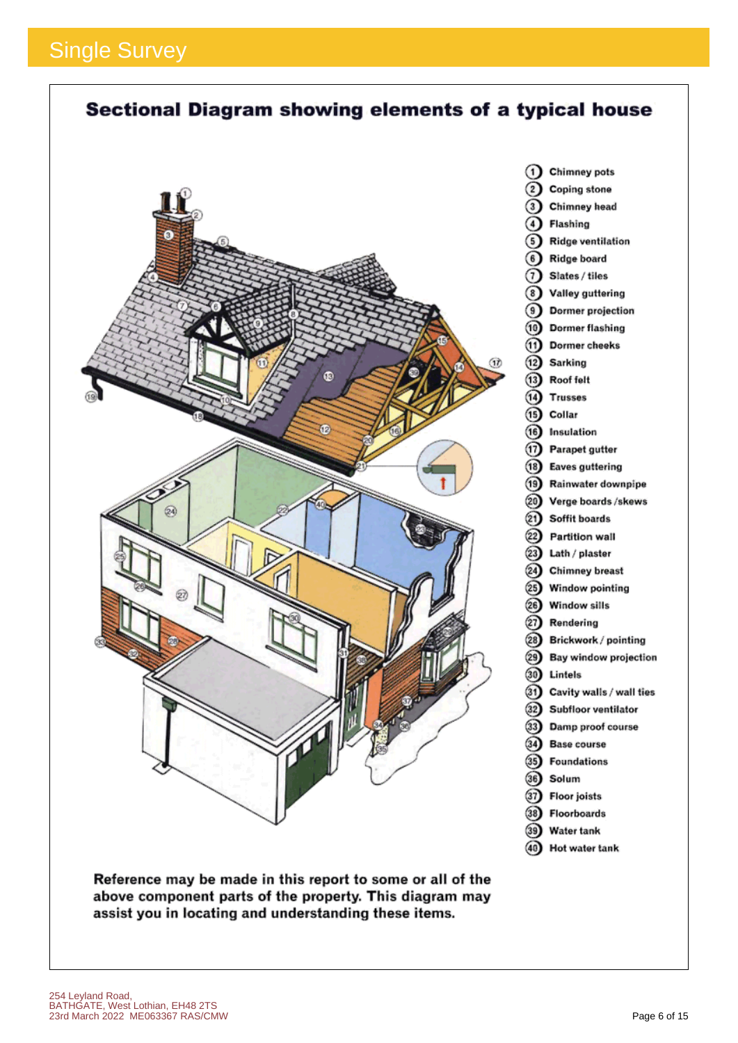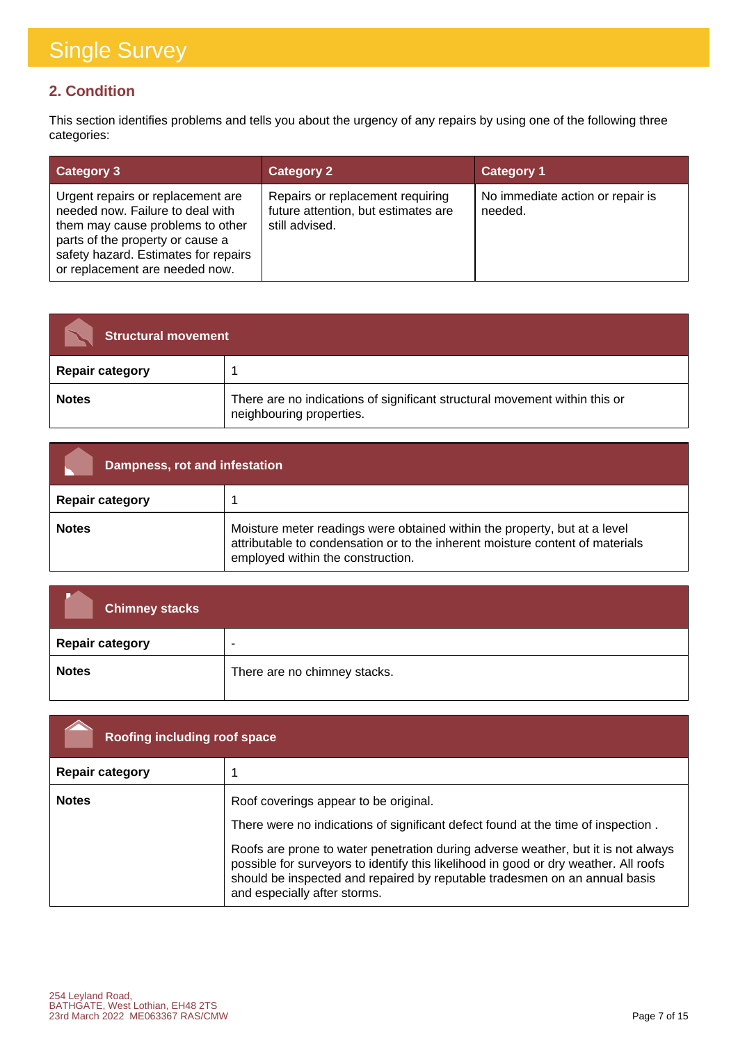#### **2. Condition**

This section identifies problems and tells you about the urgency of any repairs by using one of the following three categories:

| <b>Category 3</b>                                                                                                                                                                                                       | <b>Category 2</b>                                                                         | <b>Category 1</b>                           |
|-------------------------------------------------------------------------------------------------------------------------------------------------------------------------------------------------------------------------|-------------------------------------------------------------------------------------------|---------------------------------------------|
| Urgent repairs or replacement are<br>needed now. Failure to deal with<br>them may cause problems to other<br>parts of the property or cause a<br>safety hazard. Estimates for repairs<br>or replacement are needed now. | Repairs or replacement requiring<br>future attention, but estimates are<br>still advised. | No immediate action or repair is<br>needed. |

| <b>Structural movement</b> |                                                                                                        |
|----------------------------|--------------------------------------------------------------------------------------------------------|
| <b>Repair category</b>     |                                                                                                        |
| <b>Notes</b>               | There are no indications of significant structural movement within this or<br>neighbouring properties. |

| Dampness, rot and infestation |                                                                                                                                                                                                 |
|-------------------------------|-------------------------------------------------------------------------------------------------------------------------------------------------------------------------------------------------|
| <b>Repair category</b>        |                                                                                                                                                                                                 |
| <b>Notes</b>                  | Moisture meter readings were obtained within the property, but at a level<br>attributable to condensation or to the inherent moisture content of materials<br>employed within the construction. |

| <b>Chimney stacks</b>  |                              |
|------------------------|------------------------------|
| <b>Repair category</b> | $\overline{\phantom{a}}$     |
| <b>Notes</b>           | There are no chimney stacks. |

| Roofing including roof space |                                                                                                                                                                                                                                                                                         |
|------------------------------|-----------------------------------------------------------------------------------------------------------------------------------------------------------------------------------------------------------------------------------------------------------------------------------------|
| <b>Repair category</b>       |                                                                                                                                                                                                                                                                                         |
| <b>Notes</b>                 | Roof coverings appear to be original.                                                                                                                                                                                                                                                   |
|                              | There were no indications of significant defect found at the time of inspection.                                                                                                                                                                                                        |
|                              | Roofs are prone to water penetration during adverse weather, but it is not always<br>possible for surveyors to identify this likelihood in good or dry weather. All roofs<br>should be inspected and repaired by reputable tradesmen on an annual basis<br>and especially after storms. |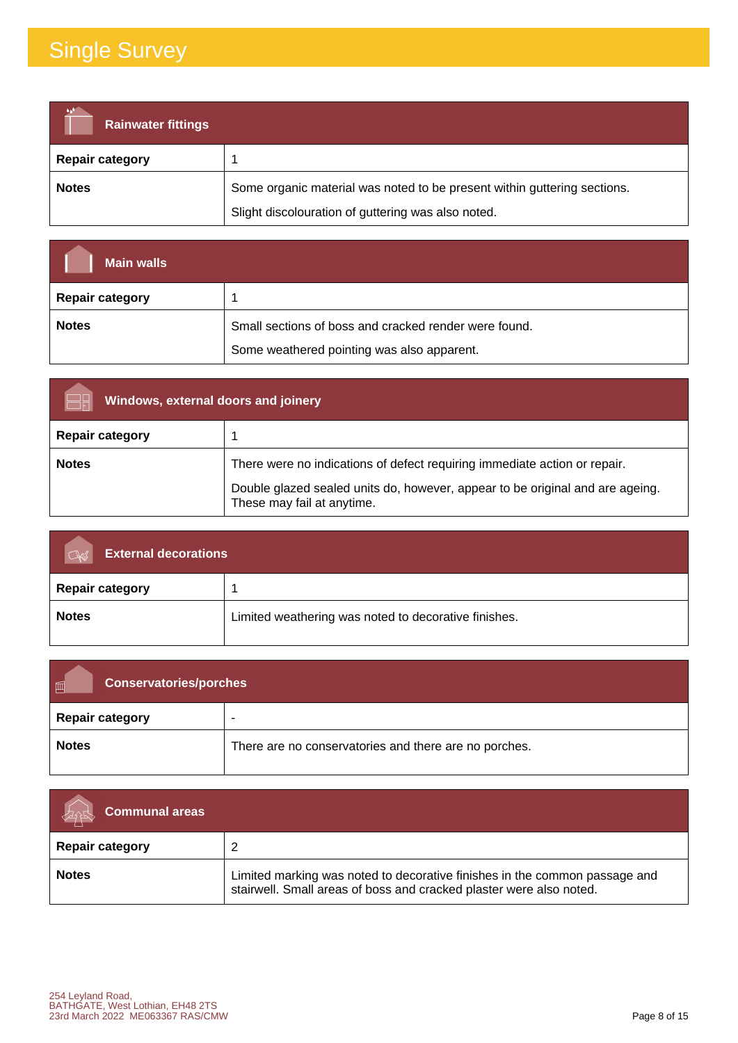| <b>Rainwater fittings</b> |                                                                          |
|---------------------------|--------------------------------------------------------------------------|
| <b>Repair category</b>    |                                                                          |
| <b>Notes</b>              | Some organic material was noted to be present within guttering sections. |
|                           | Slight discolouration of guttering was also noted.                       |

| <b>Main walls</b>      |                                                       |
|------------------------|-------------------------------------------------------|
| <b>Repair category</b> |                                                       |
| <b>Notes</b>           | Small sections of boss and cracked render were found. |
|                        | Some weathered pointing was also apparent.            |

| Windows, external doors and joinery |                                                                                                                                                                                          |
|-------------------------------------|------------------------------------------------------------------------------------------------------------------------------------------------------------------------------------------|
| <b>Repair category</b>              |                                                                                                                                                                                          |
| <b>Notes</b>                        | There were no indications of defect requiring immediate action or repair.<br>Double glazed sealed units do, however, appear to be original and are ageing.<br>These may fail at anytime. |

| <b>External decorations</b><br>$\alpha$ |                                                      |
|-----------------------------------------|------------------------------------------------------|
| <b>Repair category</b>                  |                                                      |
| <b>Notes</b>                            | Limited weathering was noted to decorative finishes. |

| 圃<br><b>Conservatories/porches</b> |                                                       |
|------------------------------------|-------------------------------------------------------|
| <b>Repair category</b>             |                                                       |
| <b>Notes</b>                       | There are no conservatories and there are no porches. |

| <b>Communal areas</b>  |                                                                                                                                                   |
|------------------------|---------------------------------------------------------------------------------------------------------------------------------------------------|
| <b>Repair category</b> |                                                                                                                                                   |
| <b>Notes</b>           | Limited marking was noted to decorative finishes in the common passage and<br>stairwell. Small areas of boss and cracked plaster were also noted. |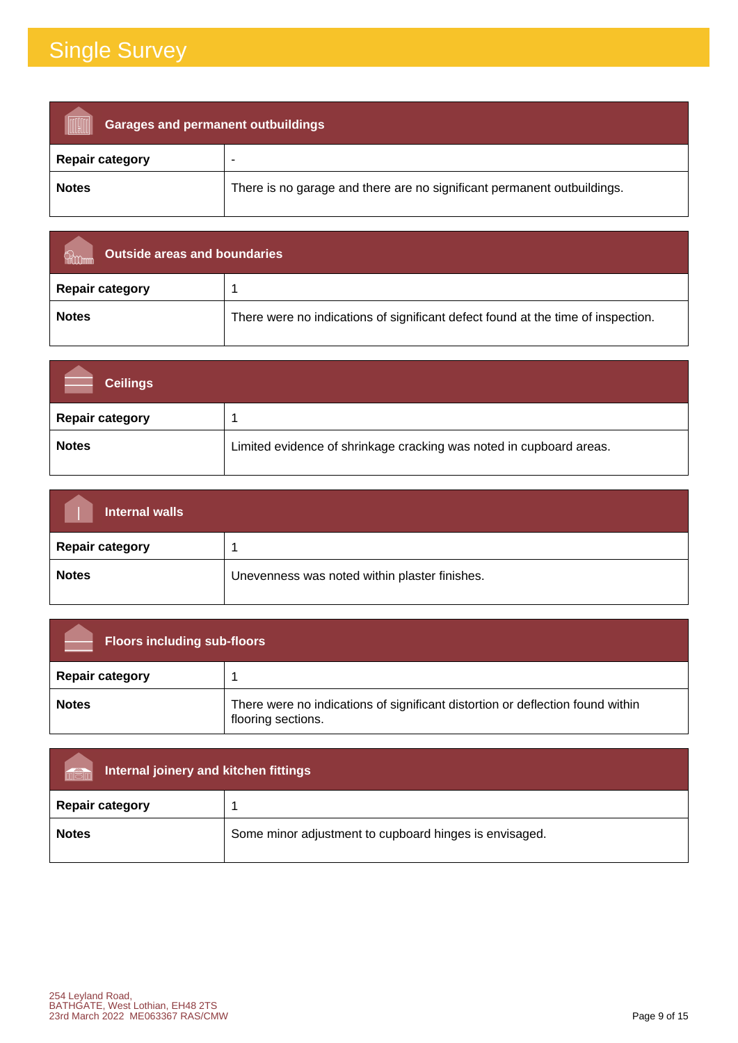| <b>Garages and permanent outbuildings</b> |                                                                         |
|-------------------------------------------|-------------------------------------------------------------------------|
| <b>Repair category</b>                    |                                                                         |
| <b>Notes</b>                              | There is no garage and there are no significant permanent outbuildings. |

| Outside areas and boundaries |                                                                                  |
|------------------------------|----------------------------------------------------------------------------------|
| <b>Repair category</b>       |                                                                                  |
| <b>Notes</b>                 | There were no indications of significant defect found at the time of inspection. |

| <b>Ceilings</b>        |                                                                     |
|------------------------|---------------------------------------------------------------------|
| <b>Repair category</b> |                                                                     |
| <b>Notes</b>           | Limited evidence of shrinkage cracking was noted in cupboard areas. |

| Internal walls         |                                               |
|------------------------|-----------------------------------------------|
| <b>Repair category</b> |                                               |
| <b>Notes</b>           | Unevenness was noted within plaster finishes. |

| <b>Floors including sub-floors</b> |                                                                                                      |
|------------------------------------|------------------------------------------------------------------------------------------------------|
| <b>Repair category</b>             |                                                                                                      |
| <b>Notes</b>                       | There were no indications of significant distortion or deflection found within<br>flooring sections. |

| Internal joinery and kitchen fittings<br>män |                                                        |
|----------------------------------------------|--------------------------------------------------------|
| <b>Repair category</b>                       |                                                        |
| <b>Notes</b>                                 | Some minor adjustment to cupboard hinges is envisaged. |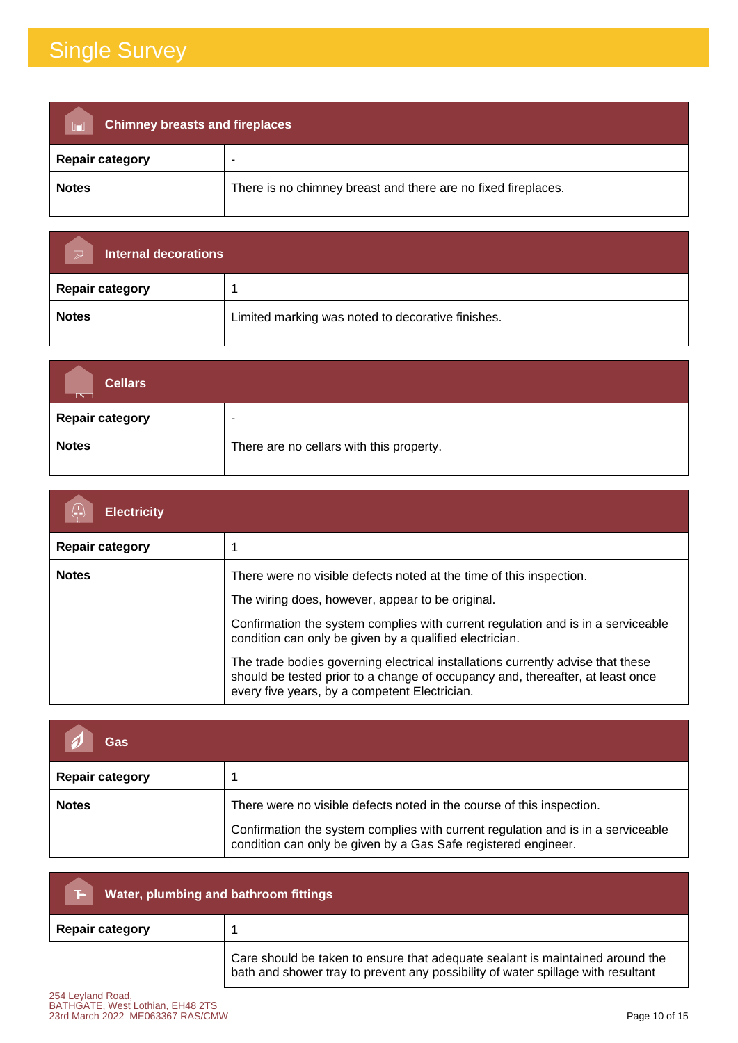| <b>Chimney breasts and fireplaces</b><br>$\overline{\blacksquare}$ |                                                               |
|--------------------------------------------------------------------|---------------------------------------------------------------|
| <b>Repair category</b>                                             |                                                               |
| <b>Notes</b>                                                       | There is no chimney breast and there are no fixed fireplaces. |

| <b>Internal decorations</b><br>$\triangleright$ |                                                   |
|-------------------------------------------------|---------------------------------------------------|
| <b>Repair category</b>                          |                                                   |
| <b>Notes</b>                                    | Limited marking was noted to decorative finishes. |

| <b>Cellars</b><br>↸    |                                          |
|------------------------|------------------------------------------|
| <b>Repair category</b> | $\overline{\phantom{a}}$                 |
| <b>Notes</b>           | There are no cellars with this property. |

| <b>Electricity</b>     |                                                                                                                                                                                                                                                                                                                                                                                                                                                                                              |
|------------------------|----------------------------------------------------------------------------------------------------------------------------------------------------------------------------------------------------------------------------------------------------------------------------------------------------------------------------------------------------------------------------------------------------------------------------------------------------------------------------------------------|
| <b>Repair category</b> |                                                                                                                                                                                                                                                                                                                                                                                                                                                                                              |
| <b>Notes</b>           | There were no visible defects noted at the time of this inspection.<br>The wiring does, however, appear to be original.<br>Confirmation the system complies with current regulation and is in a serviceable<br>condition can only be given by a qualified electrician.<br>The trade bodies governing electrical installations currently advise that these<br>should be tested prior to a change of occupancy and, thereafter, at least once<br>every five years, by a competent Electrician. |

| Gas                    |                                                                                                                                                                                                                             |
|------------------------|-----------------------------------------------------------------------------------------------------------------------------------------------------------------------------------------------------------------------------|
| <b>Repair category</b> |                                                                                                                                                                                                                             |
| <b>Notes</b>           | There were no visible defects noted in the course of this inspection.<br>Confirmation the system complies with current regulation and is in a serviceable<br>condition can only be given by a Gas Safe registered engineer. |

| Water, plumbing and bathroom fittings<br>Г- I |                                                                                                                                                                   |
|-----------------------------------------------|-------------------------------------------------------------------------------------------------------------------------------------------------------------------|
| <b>Repair category</b>                        |                                                                                                                                                                   |
|                                               | Care should be taken to ensure that adequate sealant is maintained around the<br>bath and shower tray to prevent any possibility of water spillage with resultant |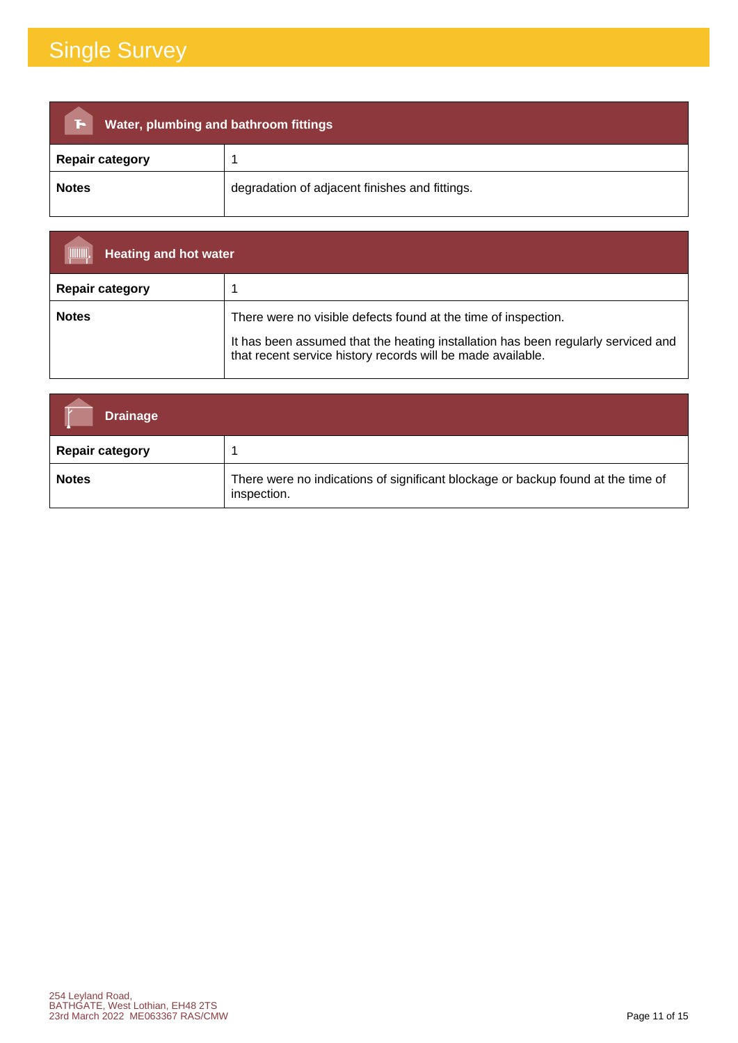| Water, plumbing and bathroom fittings<br>Æ |                                                |  |
|--------------------------------------------|------------------------------------------------|--|
| <b>Repair category</b>                     |                                                |  |
| <b>Notes</b>                               | degradation of adjacent finishes and fittings. |  |

| (IIIIIII)<br><b>Heating and hot water</b> |                                                                                                                                                                                                                    |
|-------------------------------------------|--------------------------------------------------------------------------------------------------------------------------------------------------------------------------------------------------------------------|
| <b>Repair category</b>                    |                                                                                                                                                                                                                    |
| <b>Notes</b>                              | There were no visible defects found at the time of inspection.<br>It has been assumed that the heating installation has been regularly serviced and<br>that recent service history records will be made available. |

| <b>Drainage</b>        |                                                                                                 |
|------------------------|-------------------------------------------------------------------------------------------------|
| <b>Repair category</b> |                                                                                                 |
| <b>Notes</b>           | There were no indications of significant blockage or backup found at the time of<br>inspection. |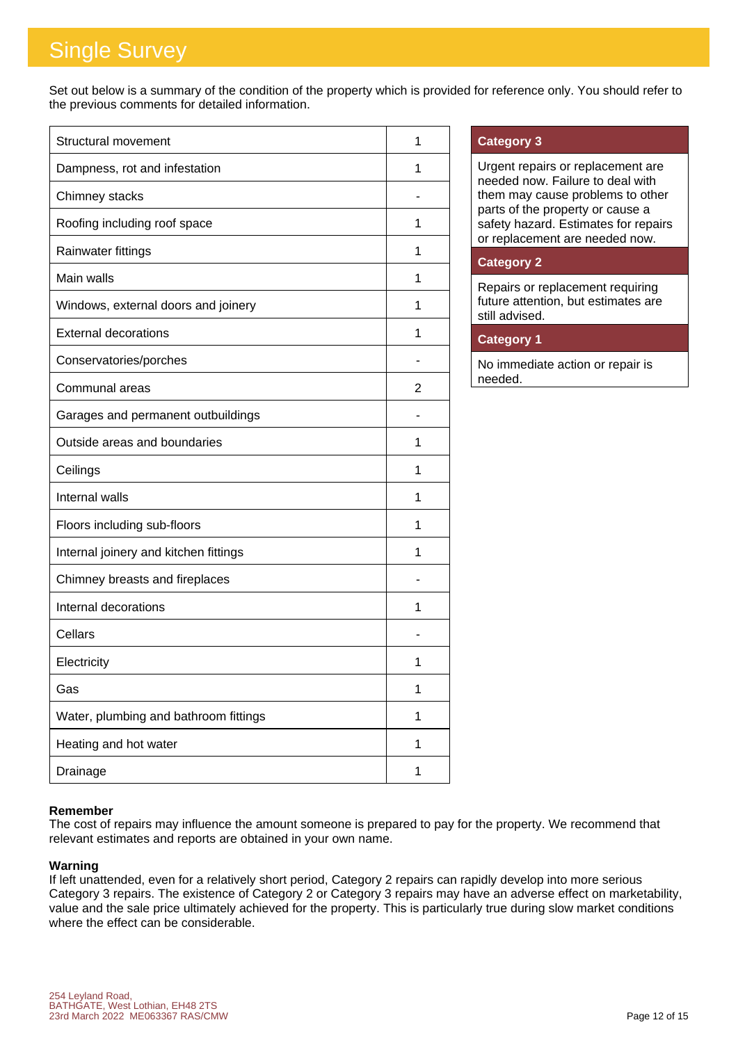Set out below is a summary of the condition of the property which is provided for reference only. You should refer to the previous comments for detailed information.

| <b>Structural movement</b>            | 1 |
|---------------------------------------|---|
| Dampness, rot and infestation         | 1 |
| Chimney stacks                        |   |
| Roofing including roof space          | 1 |
| Rainwater fittings                    | 1 |
| Main walls                            | 1 |
| Windows, external doors and joinery   | 1 |
| <b>External decorations</b>           | 1 |
| Conservatories/porches                |   |
| Communal areas                        | 2 |
| Garages and permanent outbuildings    |   |
| Outside areas and boundaries          | 1 |
| Ceilings                              | 1 |
| Internal walls                        | 1 |
| Floors including sub-floors           | 1 |
| Internal joinery and kitchen fittings | 1 |
| Chimney breasts and fireplaces        |   |
| Internal decorations                  | 1 |
| Cellars                               |   |
| Electricity                           | 1 |
| Gas                                   | 1 |
| Water, plumbing and bathroom fittings | 1 |
| Heating and hot water                 | 1 |
| Drainage                              | 1 |

#### **Category 3**

Urgent repairs or replacement are needed now. Failure to deal with them may cause problems to other parts of the property or cause a safety hazard. Estimates for repairs or replacement are needed now.

#### **Category 2**

Repairs or replacement requiring future attention, but estimates are still advised.

#### **Category 1**

No immediate action or repair is needed.

#### **Remember**

The cost of repairs may influence the amount someone is prepared to pay for the property. We recommend that relevant estimates and reports are obtained in your own name.

#### **Warning**

If left unattended, even for a relatively short period, Category 2 repairs can rapidly develop into more serious Category 3 repairs. The existence of Category 2 or Category 3 repairs may have an adverse effect on marketability, value and the sale price ultimately achieved for the property. This is particularly true during slow market conditions where the effect can be considerable.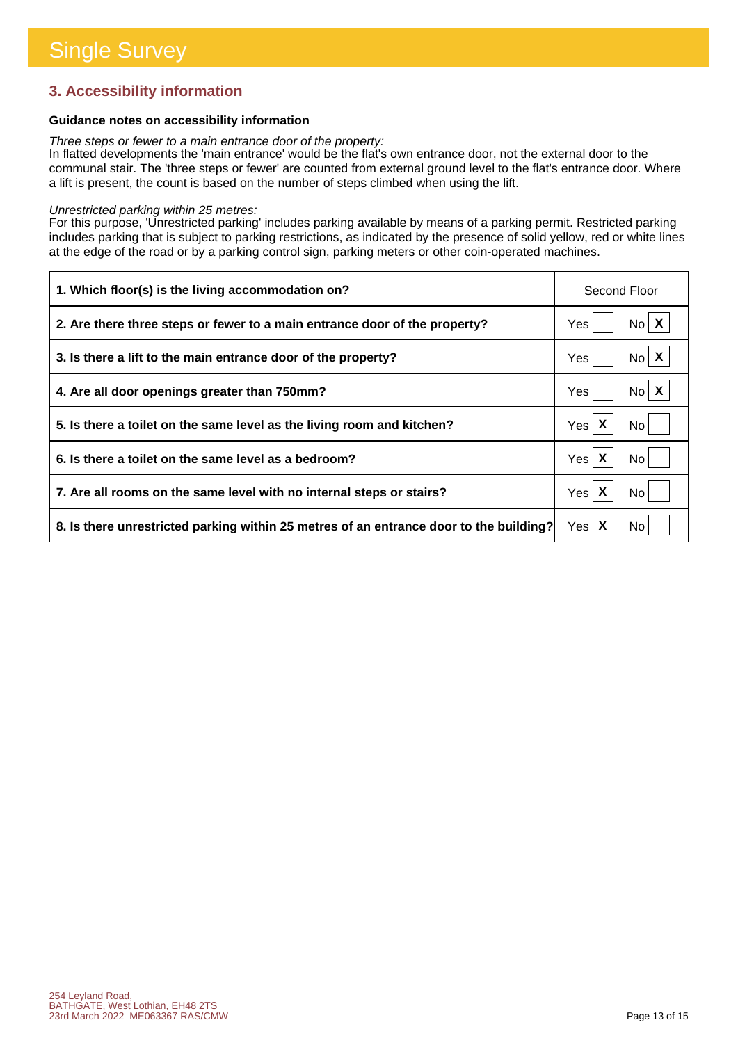#### **3. Accessibility information**

#### **Guidance notes on accessibility information**

*Three steps or fewer to a main entrance door of the property:*

In flatted developments the 'main entrance' would be the flat's own entrance door, not the external door to the communal stair. The 'three steps or fewer' are counted from external ground level to the flat's entrance door. Where a lift is present, the count is based on the number of steps climbed when using the lift.

#### *Unrestricted parking within 25 metres:*

For this purpose, 'Unrestricted parking' includes parking available by means of a parking permit. Restricted parking includes parking that is subject to parking restrictions, as indicated by the presence of solid yellow, red or white lines at the edge of the road or by a parking control sign, parking meters or other coin-operated machines.

| 1. Which floor(s) is the living accommodation on?                                      | Second Floor             |
|----------------------------------------------------------------------------------------|--------------------------|
| 2. Are there three steps or fewer to a main entrance door of the property?             | $No$ $X$<br>Yes          |
| 3. Is there a lift to the main entrance door of the property?                          | $No \mid X$<br>Yes       |
| 4. Are all door openings greater than 750mm?                                           | $N_0$ $X$<br>Yes         |
| 5. Is there a toilet on the same level as the living room and kitchen?                 | Yes $\mathsf{X}$<br>No l |
| 6. Is there a toilet on the same level as a bedroom?                                   | Yes X<br>No.             |
| 7. Are all rooms on the same level with no internal steps or stairs?                   | Yes $\mathsf{X}$<br>No   |
| 8. Is there unrestricted parking within 25 metres of an entrance door to the building? | Yes $\mathsf{X}$<br>No.  |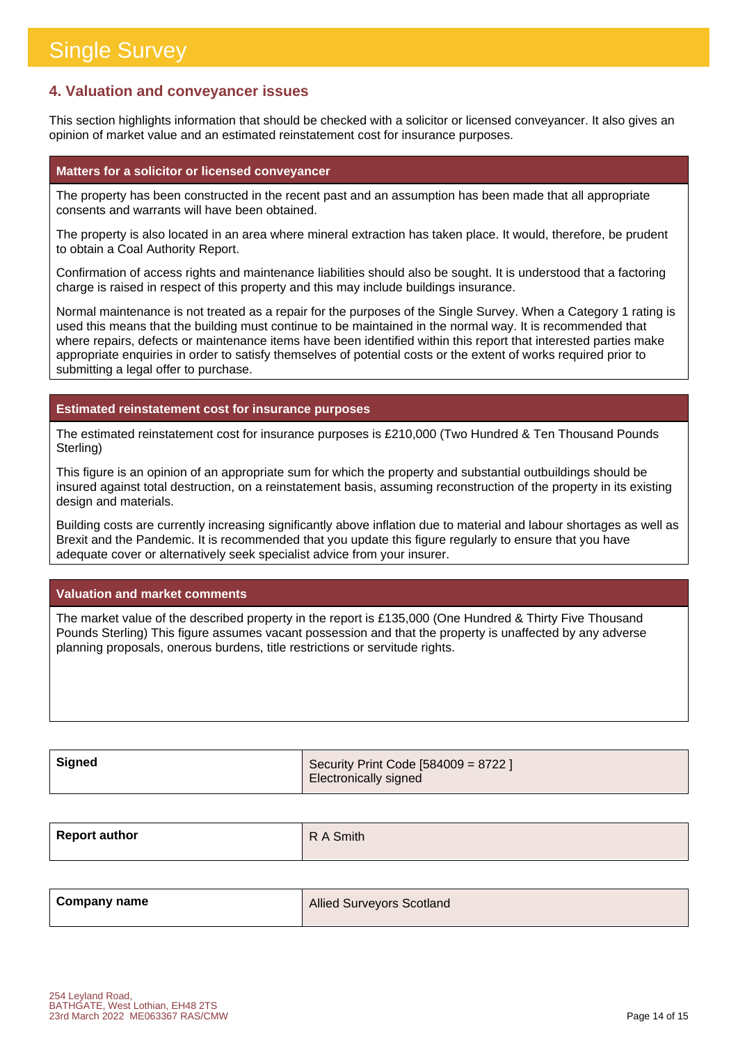#### **4. Valuation and conveyancer issues**

This section highlights information that should be checked with a solicitor or licensed conveyancer. It also gives an opinion of market value and an estimated reinstatement cost for insurance purposes.

#### **Matters for a solicitor or licensed conveyancer**

The property has been constructed in the recent past and an assumption has been made that all appropriate consents and warrants will have been obtained.

The property is also located in an area where mineral extraction has taken place. It would, therefore, be prudent to obtain a Coal Authority Report.

Confirmation of access rights and maintenance liabilities should also be sought. It is understood that a factoring charge is raised in respect of this property and this may include buildings insurance.

Normal maintenance is not treated as a repair for the purposes of the Single Survey. When a Category 1 rating is used this means that the building must continue to be maintained in the normal way. It is recommended that where repairs, defects or maintenance items have been identified within this report that interested parties make appropriate enquiries in order to satisfy themselves of potential costs or the extent of works required prior to submitting a legal offer to purchase.

#### **Estimated reinstatement cost for insurance purposes**

The estimated reinstatement cost for insurance purposes is £210,000 (Two Hundred & Ten Thousand Pounds Sterling)

This figure is an opinion of an appropriate sum for which the property and substantial outbuildings should be insured against total destruction, on a reinstatement basis, assuming reconstruction of the property in its existing design and materials.

Building costs are currently increasing significantly above inflation due to material and labour shortages as well as Brexit and the Pandemic. It is recommended that you update this figure regularly to ensure that you have adequate cover or alternatively seek specialist advice from your insurer.

#### **Valuation and market comments**

The market value of the described property in the report is £135,000 (One Hundred & Thirty Five Thousand Pounds Sterling) This figure assumes vacant possession and that the property is unaffected by any adverse planning proposals, onerous burdens, title restrictions or servitude rights.

| Signed | Security Print Code [584009 = 8722 ] |
|--------|--------------------------------------|
|        | Electronically signed                |

| <b>Report author</b> | R A Smith |
|----------------------|-----------|
|                      |           |

| <b>Company name</b> | <b>Allied Surveyors Scotland</b> |
|---------------------|----------------------------------|
|                     |                                  |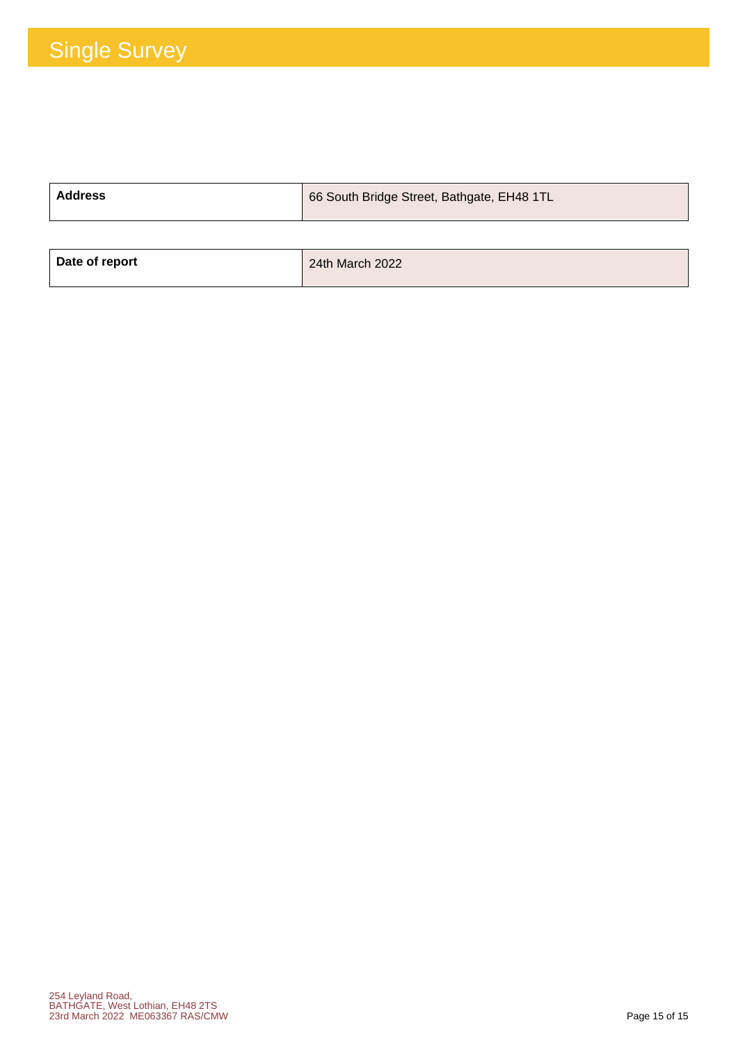| <b>Address</b> | 66 South Bridge Street, Bathgate, EH48 1TL |
|----------------|--------------------------------------------|
|                |                                            |
| Date of report | 24th March 2022                            |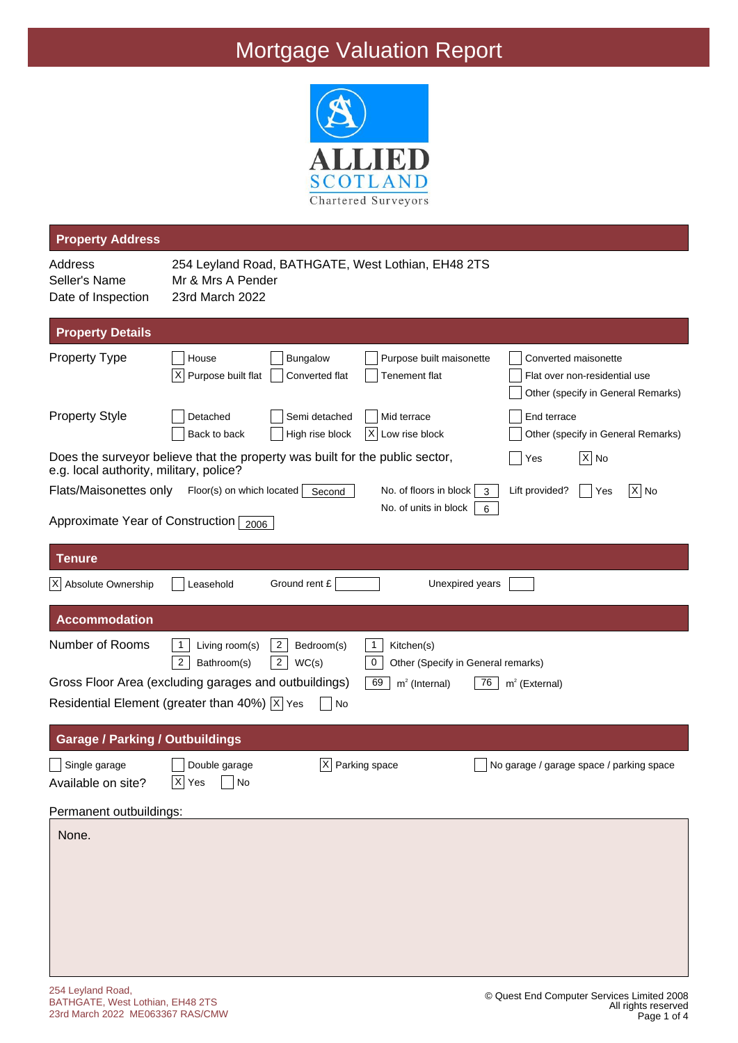

| <b>Property Address</b>                        |                                                                                                                                                                                                            |
|------------------------------------------------|------------------------------------------------------------------------------------------------------------------------------------------------------------------------------------------------------------|
| Address<br>Seller's Name<br>Date of Inspection | 254 Leyland Road, BATHGATE, West Lothian, EH48 2TS<br>Mr & Mrs A Pender<br>23rd March 2022                                                                                                                 |
| <b>Property Details</b>                        |                                                                                                                                                                                                            |
| <b>Property Type</b>                           | Bungalow<br>House<br>Purpose built maisonette<br>Converted maisonette<br>X<br>Purpose built flat<br>Converted flat<br>Tenement flat<br>Flat over non-residential use<br>Other (specify in General Remarks) |
| <b>Property Style</b>                          | End terrace<br>Detached<br>Semi detached<br>Mid terrace<br>Back to back<br>High rise block<br>Х<br>Low rise block<br>Other (specify in General Remarks)                                                    |
| e.g. local authority, military, police?        | Does the surveyor believe that the property was built for the public sector,<br>$ X $ No<br>Yes                                                                                                            |
| Flats/Maisonettes only                         | Floor(s) on which located   Second<br>$ X $ No<br>No. of floors in block<br>Lift provided?<br>Yes<br>3<br>No. of units in block<br>6                                                                       |
| Approximate Year of Construction 2006          |                                                                                                                                                                                                            |
| <b>Tenure</b>                                  |                                                                                                                                                                                                            |
| X Absolute Ownership                           | Ground rent £<br>Unexpired years<br>Leasehold                                                                                                                                                              |
| <b>Accommodation</b>                           |                                                                                                                                                                                                            |
| Number of Rooms                                | Living room(s)<br>$\overline{2}$<br>$\mathbf{1}$<br>1<br>Bedroom(s)<br>Kitchen(s)<br>$\overline{2}$<br>$\pmb{0}$<br>$\overline{c}$<br>Bathroom(s)<br>WC(s)<br>Other (Specify in General remarks)           |
|                                                | Gross Floor Area (excluding garages and outbuildings)<br>69<br>$m2$ (Internal)<br>76<br>$m2$ (External)<br>Residential Element (greater than 40%) $ \overline{x} $ Yes<br>No                               |
| <b>Garage / Parking / Outbuildings</b>         |                                                                                                                                                                                                            |
| Single garage<br>Available on site?            | X <br>Parking space<br>Double garage<br>No garage / garage space / parking space<br>$\overline{X}$ Yes<br>$ $ No                                                                                           |
| Permanent outbuildings:                        |                                                                                                                                                                                                            |
| None.                                          |                                                                                                                                                                                                            |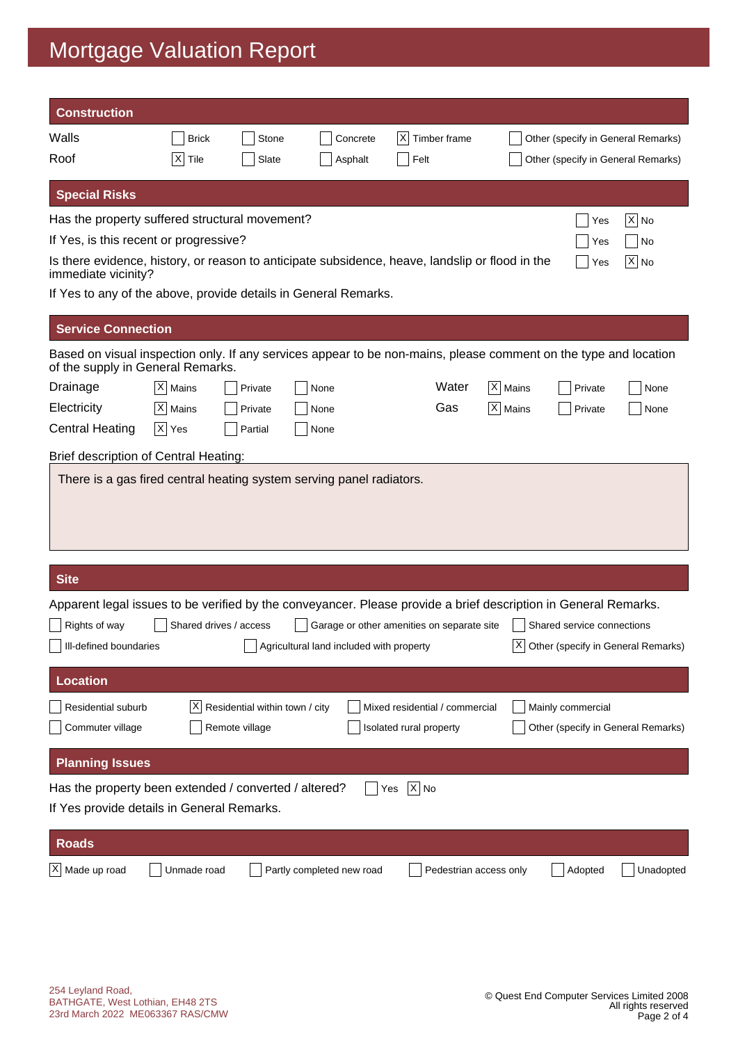| <b>Construction</b>                                                                                                                                   |                  |                                |                                          |                                            |                         |                                |         |                            |                                       |
|-------------------------------------------------------------------------------------------------------------------------------------------------------|------------------|--------------------------------|------------------------------------------|--------------------------------------------|-------------------------|--------------------------------|---------|----------------------------|---------------------------------------|
| Walls                                                                                                                                                 | <b>Brick</b>     | Stone                          |                                          | Concrete                                   | X                       | Timber frame                   |         |                            | Other (specify in General Remarks)    |
| Roof                                                                                                                                                  | $\times$<br>Tile | Slate                          |                                          | Asphalt                                    | Felt                    |                                |         |                            | Other (specify in General Remarks)    |
| <b>Special Risks</b>                                                                                                                                  |                  |                                |                                          |                                            |                         |                                |         |                            |                                       |
| Has the property suffered structural movement?                                                                                                        |                  |                                |                                          |                                            |                         |                                |         | Yes                        | $ X $ No                              |
| If Yes, is this recent or progressive?                                                                                                                |                  |                                |                                          |                                            |                         |                                |         | Yes                        | No                                    |
| Is there evidence, history, or reason to anticipate subsidence, heave, landslip or flood in the<br>immediate vicinity?                                |                  |                                |                                          |                                            |                         |                                |         | Yes                        | $X $ No                               |
| If Yes to any of the above, provide details in General Remarks.                                                                                       |                  |                                |                                          |                                            |                         |                                |         |                            |                                       |
| <b>Service Connection</b>                                                                                                                             |                  |                                |                                          |                                            |                         |                                |         |                            |                                       |
| Based on visual inspection only. If any services appear to be non-mains, please comment on the type and location<br>of the supply in General Remarks. |                  |                                |                                          |                                            |                         |                                |         |                            |                                       |
| Drainage                                                                                                                                              | X Mains          | Private                        | None                                     |                                            |                         | Water                          | X Mains | Private                    | None                                  |
| Electricity                                                                                                                                           | $ X $ Mains      | Private                        | None                                     |                                            |                         | Gas                            | X Mains | Private                    | None                                  |
| <b>Central Heating</b>                                                                                                                                | $ X $ Yes        | Partial                        | None                                     |                                            |                         |                                |         |                            |                                       |
| <b>Brief description of Central Heating:</b>                                                                                                          |                  |                                |                                          |                                            |                         |                                |         |                            |                                       |
|                                                                                                                                                       |                  |                                |                                          |                                            |                         |                                |         |                            |                                       |
|                                                                                                                                                       |                  |                                |                                          |                                            |                         |                                |         |                            |                                       |
| <b>Site</b>                                                                                                                                           |                  |                                |                                          |                                            |                         |                                |         |                            |                                       |
| Apparent legal issues to be verified by the conveyancer. Please provide a brief description in General Remarks.                                       |                  |                                |                                          |                                            |                         |                                |         |                            |                                       |
| Rights of way                                                                                                                                         |                  | Shared drives / access         |                                          | Garage or other amenities on separate site |                         |                                |         | Shared service connections |                                       |
| Ill-defined boundaries                                                                                                                                |                  |                                | Agricultural land included with property |                                            |                         |                                |         |                            | X  Other (specify in General Remarks) |
| <b>Location</b>                                                                                                                                       |                  |                                |                                          |                                            |                         |                                |         |                            |                                       |
| <b>Residential suburb</b>                                                                                                                             | X                | Residential within town / city |                                          |                                            |                         | Mixed residential / commercial |         | Mainly commercial          |                                       |
| Commuter village                                                                                                                                      |                  | Remote village                 |                                          |                                            | Isolated rural property |                                |         |                            | Other (specify in General Remarks)    |
| <b>Planning Issues</b>                                                                                                                                |                  |                                |                                          |                                            |                         |                                |         |                            |                                       |
| Has the property been extended / converted / altered?                                                                                                 |                  |                                |                                          | Yes                                        | $ X $ No                |                                |         |                            |                                       |
| If Yes provide details in General Remarks.                                                                                                            |                  |                                |                                          |                                            |                         |                                |         |                            |                                       |
| <b>Roads</b>                                                                                                                                          |                  |                                |                                          |                                            |                         |                                |         |                            |                                       |
| X Made up road                                                                                                                                        | Unmade road      |                                | Partly completed new road                |                                            |                         | Pedestrian access only         |         | Adopted                    | Unadopted                             |
|                                                                                                                                                       |                  |                                |                                          |                                            |                         |                                |         |                            |                                       |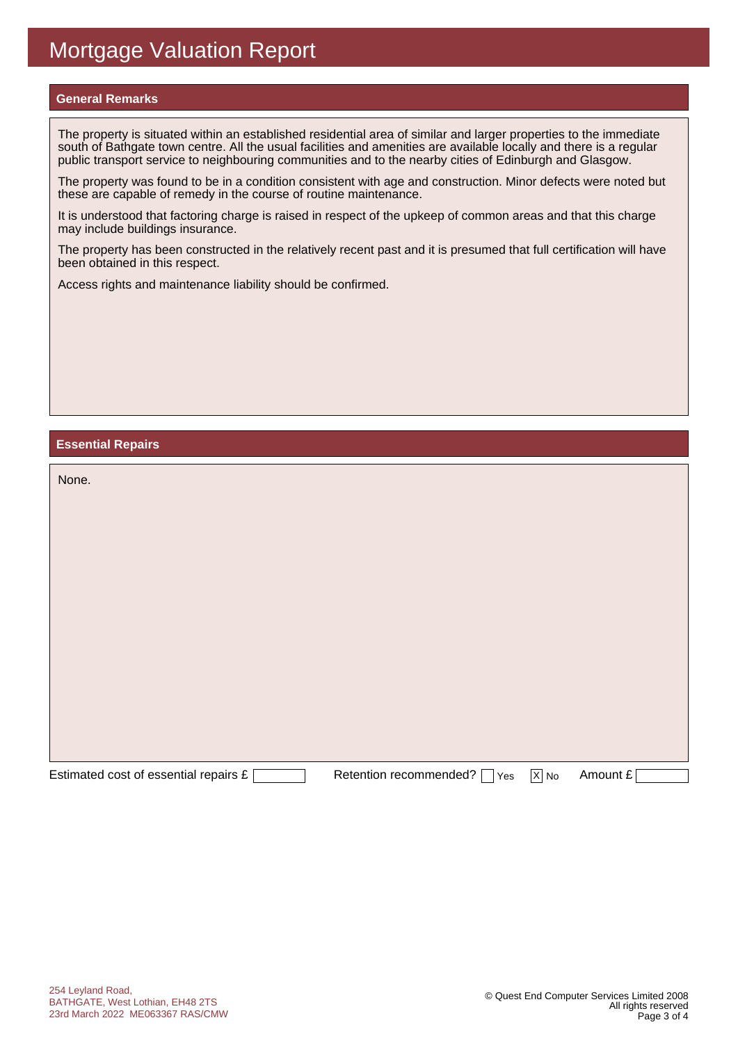#### **General Remarks**

The property is situated within an established residential area of similar and larger properties to the immediate south of Bathgate town centre. All the usual facilities and amenities are available locally and there is a regular public transport service to neighbouring communities and to the nearby cities of Edinburgh and Glasgow.

The property was found to be in a condition consistent with age and construction. Minor defects were noted but these are capable of remedy in the course of routine maintenance.

It is understood that factoring charge is raised in respect of the upkeep of common areas and that this charge may include buildings insurance.

The property has been constructed in the relatively recent past and it is presumed that full certification will have been obtained in this respect.

Access rights and maintenance liability should be confirmed.

#### **Essential Repairs**

| None.                                 |                               |                   |          |
|---------------------------------------|-------------------------------|-------------------|----------|
|                                       |                               |                   |          |
|                                       |                               |                   |          |
|                                       |                               |                   |          |
|                                       |                               |                   |          |
|                                       |                               |                   |          |
|                                       |                               |                   |          |
|                                       |                               |                   |          |
| Estimated cost of essential repairs £ | Retention recommended?<br>Yes | $\overline{X}$ No | Amount £ |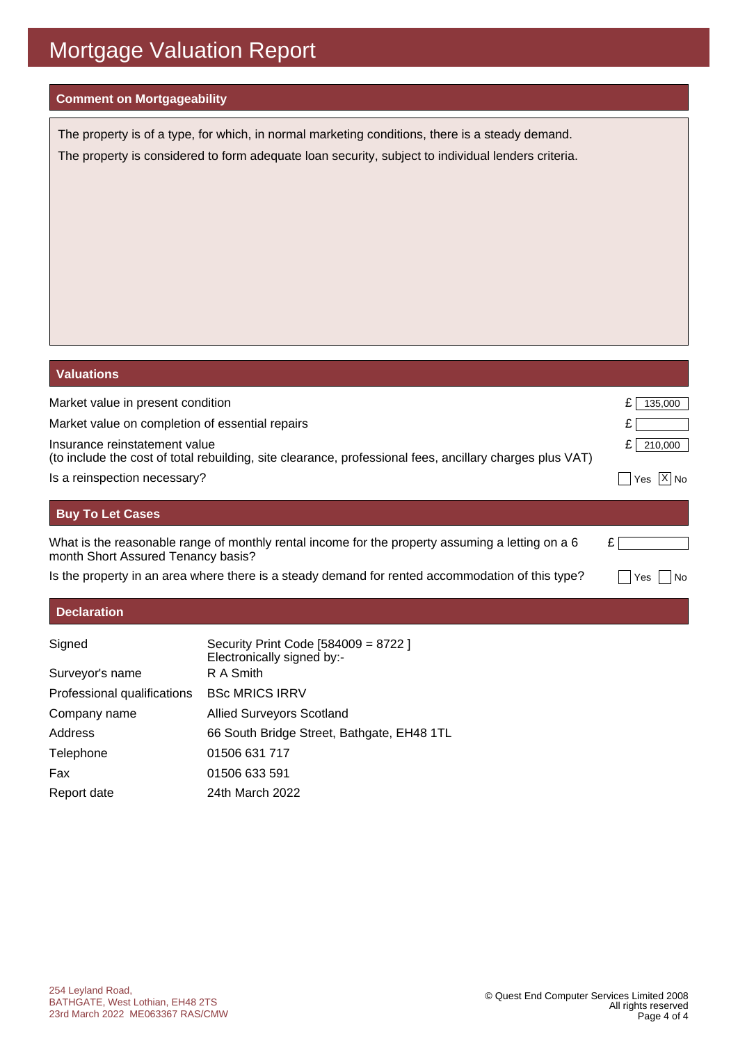#### **Comment on Mortgageability**

The property is of a type, for which, in normal marketing conditions, there is a steady demand. The property is considered to form adequate loan security, subject to individual lenders criteria.

| <b>Valuations</b>                                                                                                                         |                   |
|-------------------------------------------------------------------------------------------------------------------------------------------|-------------------|
| Market value in present condition                                                                                                         | 135,000           |
| Market value on completion of essential repairs                                                                                           |                   |
| Insurance reinstatement value<br>(to include the cost of total rebuilding, site clearance, professional fees, ancillary charges plus VAT) | £<br>210,000      |
| Is a reinspection necessary?                                                                                                              | ΙX<br>l No<br>Yes |
| <b>Buy To Let Cases</b>                                                                                                                   |                   |
| What is the reasonable range of monthly rental income for the property assuming a letting on a 6<br>month Short Assured Tenancy basis?    |                   |
| Is the property in an area where there is a steady demand for rented accommodation of this type?                                          | No<br>Yes         |
| <b>Declaration</b>                                                                                                                        |                   |

| Signed                      | Security Print Code [584009 = 8722 ]<br>Electronically signed by:- |
|-----------------------------|--------------------------------------------------------------------|
| Surveyor's name             | R A Smith                                                          |
| Professional qualifications | <b>BSc MRICS IRRV</b>                                              |
| Company name                | <b>Allied Surveyors Scotland</b>                                   |
| Address                     | 66 South Bridge Street, Bathgate, EH48 1TL                         |
| Telephone                   | 01506 631 717                                                      |
| Fax                         | 01506 633 591                                                      |
| Report date                 | 24th March 2022                                                    |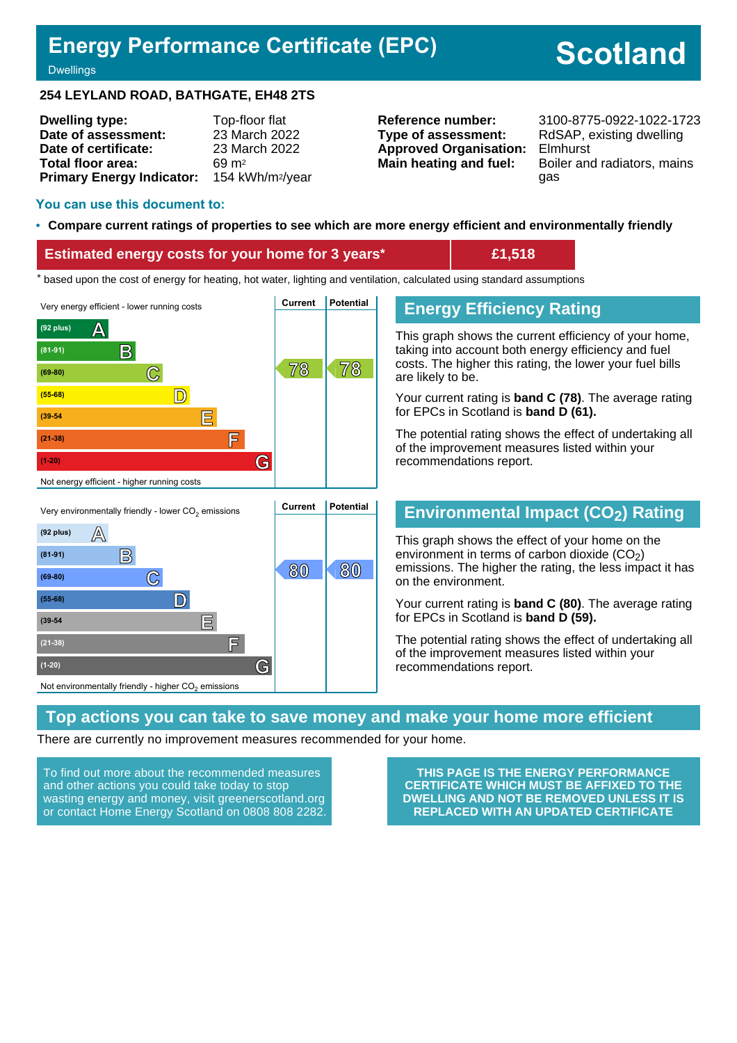### **Energy Performance Certificate (EPC)**

# **Scotland**

#### **Dwellings**

#### **254 LEYLAND ROAD, BATHGATE, EH48 2TS**

| <b>Dwelling type:</b>            | Top-floor flat               |
|----------------------------------|------------------------------|
| Date of assessment:              | 23 March 2022                |
| Date of certificate:             | 23 March 2022                |
| Total floor area:                | 69 m <sup>2</sup>            |
| <b>Primary Energy Indicator:</b> | 154 kWh/m <sup>2</sup> /year |

**Type of assessment:** RdSAP, existing dwelling **Approved Organisation:** Elmhurst

**Reference number:** 3100-8775-0922-1022-1723 **Main heating and fuel:** Boiler and radiators, mains gas

#### **You can use this document to:**

#### • **Compare current ratings of properties to see which are more energy efficient and environmentally friendly**

#### **Estimated energy costs for your home for 3 years\* £1,518**

the sed upon the cost of energy for heating, hot water, lighting and ventilation, calculated using standard assumptions





#### **Energy Efficiency Rating**

This graph shows the current efficiency of your home, taking into account both energy efficiency and fuel costs. The higher this rating, the lower your fuel bills are likely to be.

Your current rating is **band C (78)**. The average rating for EPCs in Scotland is **band D (61).**

The potential rating shows the effect of undertaking all of the improvement measures listed within your recommendations report.

#### **Environmental Impact (CO2) Rating**

This graph shows the effect of your home on the environment in terms of carbon dioxide  $(CO<sub>2</sub>)$ emissions. The higher the rating, the less impact it has on the environment.

Your current rating is **band C (80)**. The average rating for EPCs in Scotland is **band D (59).**

The potential rating shows the effect of undertaking all of the improvement measures listed within your recommendations report.

#### **Top actions you can take to save money and make your home more efficient**

There are currently no improvement measures recommended for your home.

To find out more about the recommended measures and other actions you could take today to stop wasting energy and money, visit greenerscotland.org or contact Home Energy Scotland on 0808 808 2282.

**THIS PAGE IS THE ENERGY PERFORMANCE CERTIFICATE WHICH MUST BE AFFIXED TO THE DWELLING AND NOT BE REMOVED UNLESS IT IS REPLACED WITH AN UPDATED CERTIFICATE**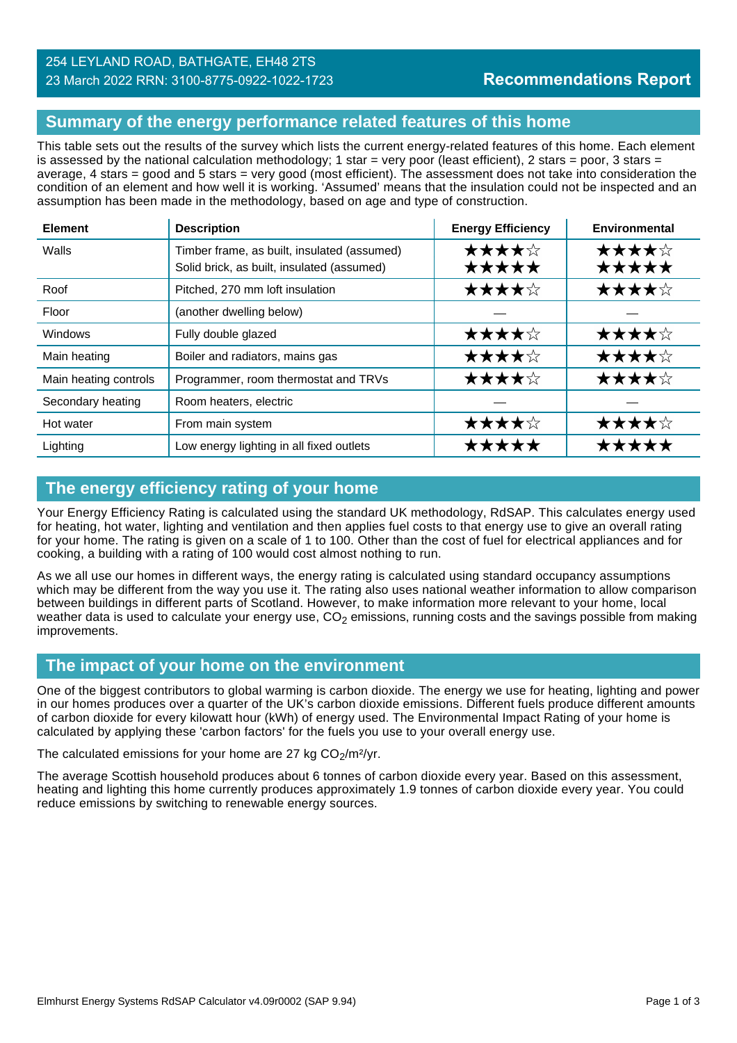#### **Summary of the energy performance related features of this home**

This table sets out the results of the survey which lists the current energy-related features of this home. Each element is assessed by the national calculation methodology; 1 star = very poor (least efficient), 2 stars = poor, 3 stars = average, 4 stars = good and 5 stars = very good (most efficient). The assessment does not take into consideration the condition of an element and how well it is working. 'Assumed' means that the insulation could not be inspected and an assumption has been made in the methodology, based on age and type of construction.

| <b>Element</b>        | <b>Description</b>                                                                        | <b>Energy Efficiency</b> | Environmental  |
|-----------------------|-------------------------------------------------------------------------------------------|--------------------------|----------------|
| Walls                 | Timber frame, as built, insulated (assumed)<br>Solid brick, as built, insulated (assumed) | ★★★★☆<br>*****           | ★★★★☆<br>★★★★★ |
| Roof                  | Pitched, 270 mm loft insulation                                                           | ★★★★☆                    | ★★★★☆          |
| Floor                 | (another dwelling below)                                                                  |                          |                |
| <b>Windows</b>        | Fully double glazed                                                                       | ★★★★☆                    | ★★★★☆          |
| Main heating          | Boiler and radiators, mains gas                                                           | ★★★★☆                    | ★★★★☆          |
| Main heating controls | Programmer, room thermostat and TRVs                                                      | ★★★★☆                    | ★★★★☆          |
| Secondary heating     | Room heaters, electric                                                                    |                          |                |
| Hot water             | From main system                                                                          | ★★★★☆                    | ★★★★☆          |
| Lighting              | Low energy lighting in all fixed outlets                                                  | *****                    | *****          |

#### **The energy efficiency rating of your home**

Your Energy Efficiency Rating is calculated using the standard UK methodology, RdSAP. This calculates energy used for heating, hot water, lighting and ventilation and then applies fuel costs to that energy use to give an overall rating for your home. The rating is given on a scale of 1 to 100. Other than the cost of fuel for electrical appliances and for cooking, a building with a rating of 100 would cost almost nothing to run.

As we all use our homes in different ways, the energy rating is calculated using standard occupancy assumptions which may be different from the way you use it. The rating also uses national weather information to allow comparison between buildings in different parts of Scotland. However, to make information more relevant to your home, local weather data is used to calculate your energy use,  $CO<sub>2</sub>$  emissions, running costs and the savings possible from making improvements.

#### **The impact of your home on the environment**

One of the biggest contributors to global warming is carbon dioxide. The energy we use for heating, lighting and power in our homes produces over a quarter of the UK's carbon dioxide emissions. Different fuels produce different amounts of carbon dioxide for every kilowatt hour (kWh) of energy used. The Environmental Impact Rating of your home is calculated by applying these 'carbon factors' for the fuels you use to your overall energy use.

The calculated emissions for your home are 27 kg  $CO<sub>2</sub>/m<sup>2</sup>/yr$ .

The average Scottish household produces about 6 tonnes of carbon dioxide every year. Based on this assessment, heating and lighting this home currently produces approximately 1.9 tonnes of carbon dioxide every year. You could reduce emissions by switching to renewable energy sources.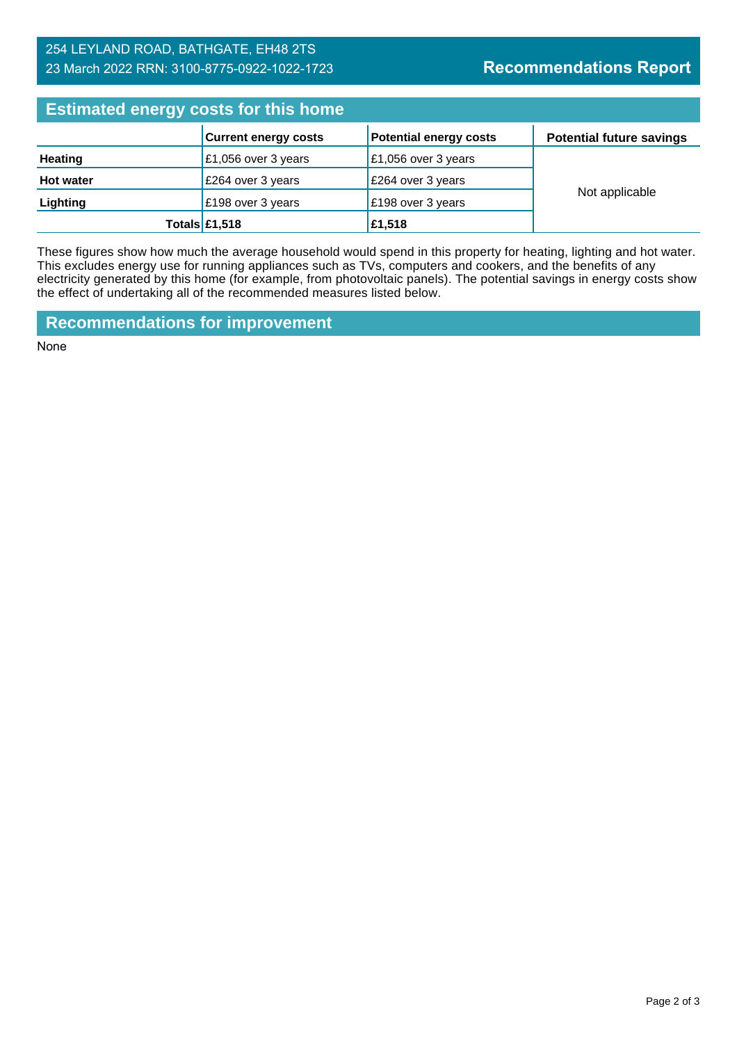#### 254 LEYLAND ROAD, BATHGATE, EH48 2TS 23 March 2022 RRN: 3100-8775-0922-1022-1723

### **Recommendations Report**

| <b>Estimated energy costs for this home</b> |                             |                               |                                 |  |  |
|---------------------------------------------|-----------------------------|-------------------------------|---------------------------------|--|--|
|                                             | <b>Current energy costs</b> | <b>Potential energy costs</b> | <b>Potential future savings</b> |  |  |
| <b>Heating</b>                              | £1,056 over 3 years         | £1,056 over 3 years           |                                 |  |  |
| <b>Hot water</b>                            | £264 over 3 years           | E264 over 3 years             |                                 |  |  |
| Lighting                                    | £198 over 3 years           | £198 over 3 years             | Not applicable                  |  |  |
|                                             | Totals $£1,518$             | £1,518                        |                                 |  |  |

These figures show how much the average household would spend in this property for heating, lighting and hot water. This excludes energy use for running appliances such as TVs, computers and cookers, and the benefits of any electricity generated by this home (for example, from photovoltaic panels). The potential savings in energy costs show the effect of undertaking all of the recommended measures listed below.

**Recommendations for improvement**

None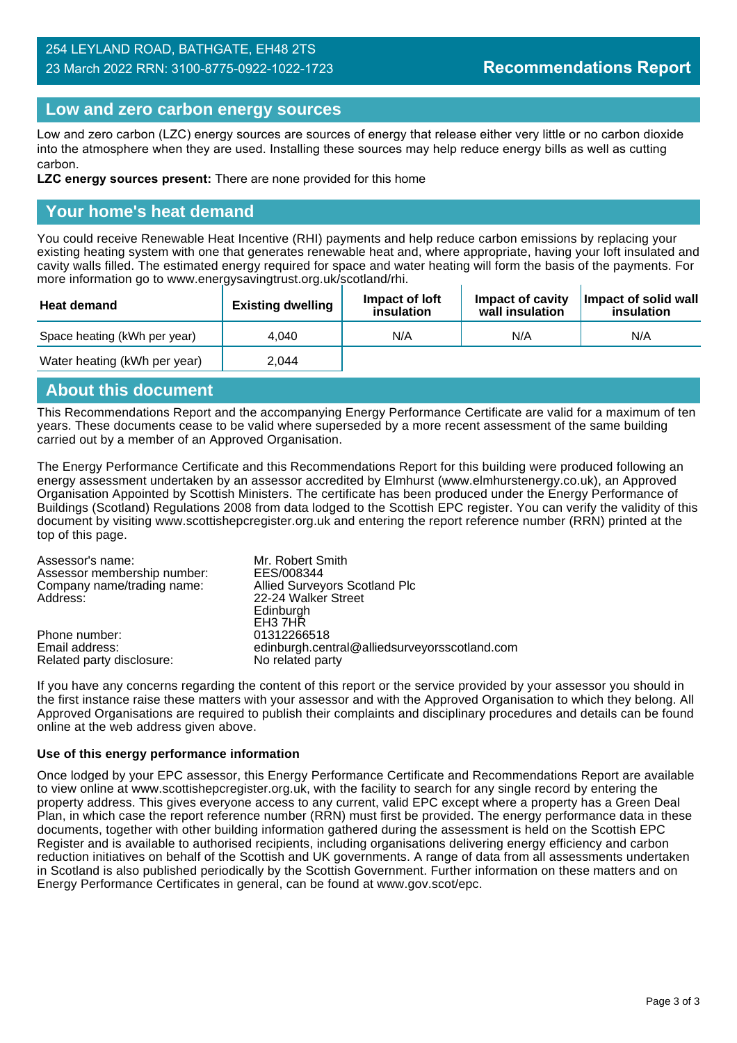#### 254 LEYLAND ROAD, BATHGATE, EH48 2TS 23 March 2022 RRN: 3100-8775-0922-1022-1723

#### **Low and zero carbon energy sources**

Low and zero carbon (LZC) energy sources are sources of energy that release either very little or no carbon dioxide into the atmosphere when they are used. Installing these sources may help reduce energy bills as well as cutting carbon.

**LZC energy sources present:** There are none provided for this home

#### **Your home's heat demand**

You could receive Renewable Heat Incentive (RHI) payments and help reduce carbon emissions by replacing your existing heating system with one that generates renewable heat and, where appropriate, having your loft insulated and cavity walls filled. The estimated energy required for space and water heating will form the basis of the payments. For more information go to www.energysavingtrust.org.uk/scotland/rhi.

| <b>Heat demand</b>           | <b>Existing dwelling</b> | Impact of loft<br>insulation | Impact of cavity<br>wall insulation | Impact of solid wall<br>insulation |
|------------------------------|--------------------------|------------------------------|-------------------------------------|------------------------------------|
| Space heating (kWh per year) | 4.040                    | N/A                          | N/A                                 | N/A                                |
| Water heating (kWh per year) | 2.044                    |                              |                                     |                                    |

#### **About this document**

This Recommendations Report and the accompanying Energy Performance Certificate are valid for a maximum of ten years. These documents cease to be valid where superseded by a more recent assessment of the same building carried out by a member of an Approved Organisation.

The Energy Performance Certificate and this Recommendations Report for this building were produced following an energy assessment undertaken by an assessor accredited by Elmhurst (www.elmhurstenergy.co.uk), an Approved Organisation Appointed by Scottish Ministers. The certificate has been produced under the Energy Performance of Buildings (Scotland) Regulations 2008 from data lodged to the Scottish EPC register. You can verify the validity of this document by visiting www.scottishepcregister.org.uk and entering the report reference number (RRN) printed at the top of this page.

| Assessor's name:            | Mr. Robert Smith                              |
|-----------------------------|-----------------------------------------------|
| Assessor membership number: | EES/008344                                    |
| Company name/trading name:  | Allied Surveyors Scotland Plc                 |
| Address:                    | 22-24 Walker Street                           |
|                             | Edinburgh                                     |
|                             | EH <sub>3</sub> 7HR                           |
| Phone number:               | 01312266518                                   |
| Email address:              | edinburgh.central@alliedsurveyorsscotland.com |
| Related party disclosure:   | No related party                              |

If you have any concerns regarding the content of this report or the service provided by your assessor you should in the first instance raise these matters with your assessor and with the Approved Organisation to which they belong. All Approved Organisations are required to publish their complaints and disciplinary procedures and details can be found online at the web address given above.

#### **Use of this energy performance information**

Once lodged by your EPC assessor, this Energy Performance Certificate and Recommendations Report are available to view online at www.scottishepcregister.org.uk, with the facility to search for any single record by entering the property address. This gives everyone access to any current, valid EPC except where a property has a Green Deal Plan, in which case the report reference number (RRN) must first be provided. The energy performance data in these documents, together with other building information gathered during the assessment is held on the Scottish EPC Register and is available to authorised recipients, including organisations delivering energy efficiency and carbon reduction initiatives on behalf of the Scottish and UK governments. A range of data from all assessments undertaken in Scotland is also published periodically by the Scottish Government. Further information on these matters and on Energy Performance Certificates in general, can be found at www.gov.scot/epc.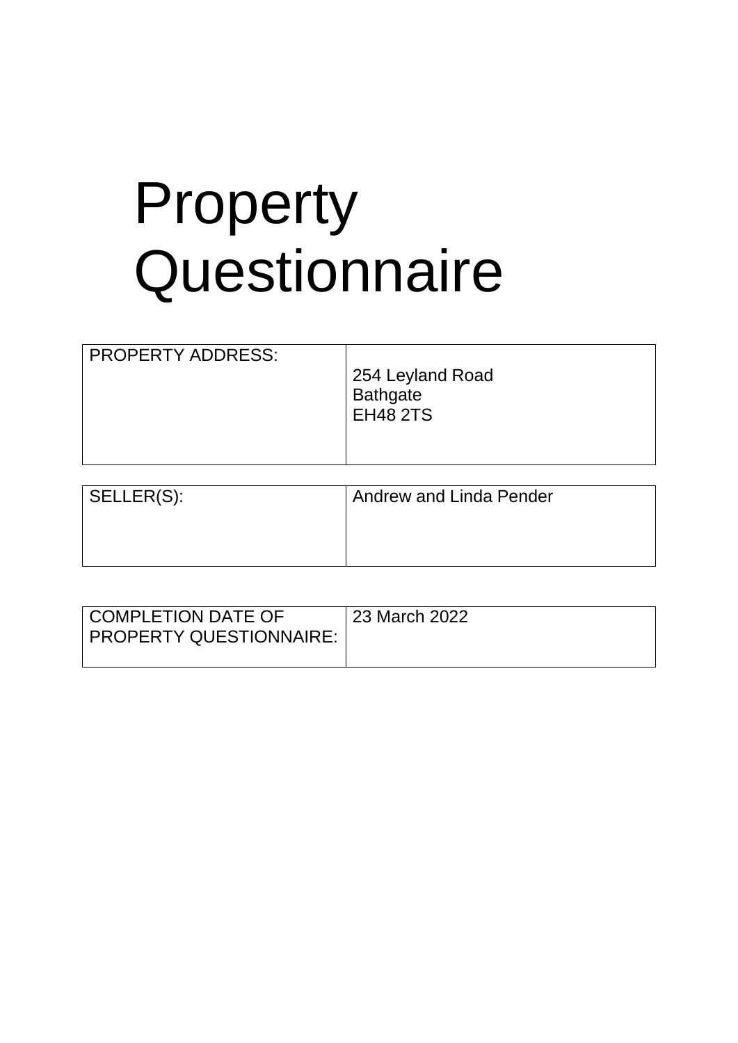# Property **Questionnaire**

| SELLER(S): | <b>Andrew and Linda Pender</b> |
|------------|--------------------------------|
|            |                                |
|            |                                |
|            |                                |

| COMPLETION DATE OF<br>PROPERTY QUESTIONNAIRE: | 23 March 2022 |
|-----------------------------------------------|---------------|
|                                               |               |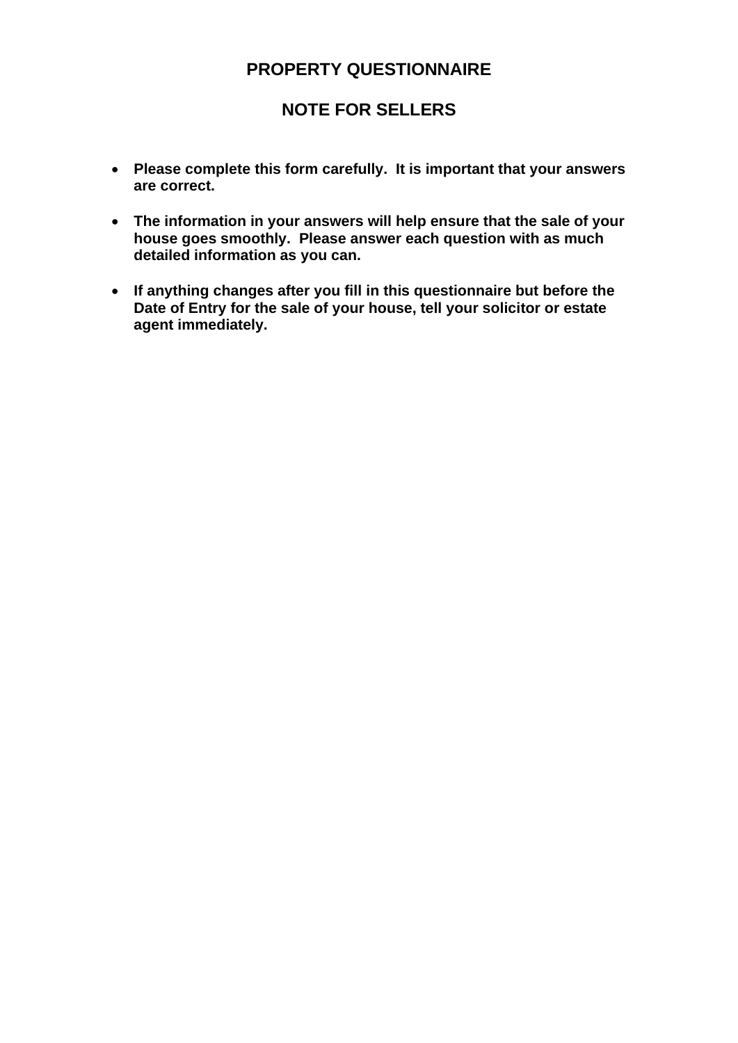### **PROPERTY QUESTIONNAIRE**

### **NOTE FOR SELLERS**

- **Please complete this form carefully. It is important that your answers are correct.**
- **The information in your answers will help ensure that the sale of your house goes smoothly. Please answer each question with as much detailed information as you can.**
- **If anything changes after you fill in this questionnaire but before the Date of Entry for the sale of your house, tell your solicitor or estate agent immediately.**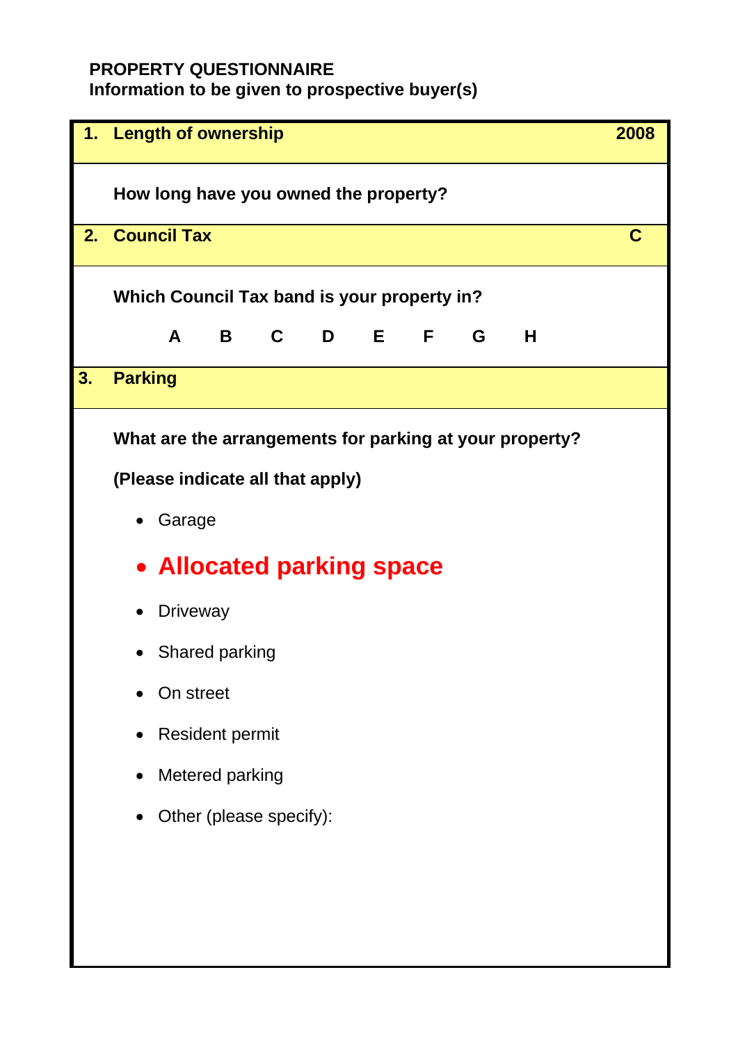### **PROPERTY QUESTIONNAIRE**

**Information to be given to prospective buyer(s)**

| 1. | <b>Length of ownership</b>                              | 2008 |
|----|---------------------------------------------------------|------|
|    | How long have you owned the property?                   |      |
|    | 2. Council Tax                                          | C    |
|    | Which Council Tax band is your property in?             |      |
|    | A B C D E F G H                                         |      |
| 3. | <b>Parking</b>                                          |      |
|    | What are the arrangements for parking at your property? |      |
|    | (Please indicate all that apply)                        |      |
|    | Garage                                                  |      |
|    | • Allocated parking space                               |      |
|    | <b>Driveway</b>                                         |      |
|    | • Shared parking                                        |      |
|    | On street                                               |      |
|    | <b>Resident permit</b>                                  |      |
|    | Metered parking                                         |      |
|    | Other (please specify):                                 |      |
|    |                                                         |      |
|    |                                                         |      |
|    |                                                         |      |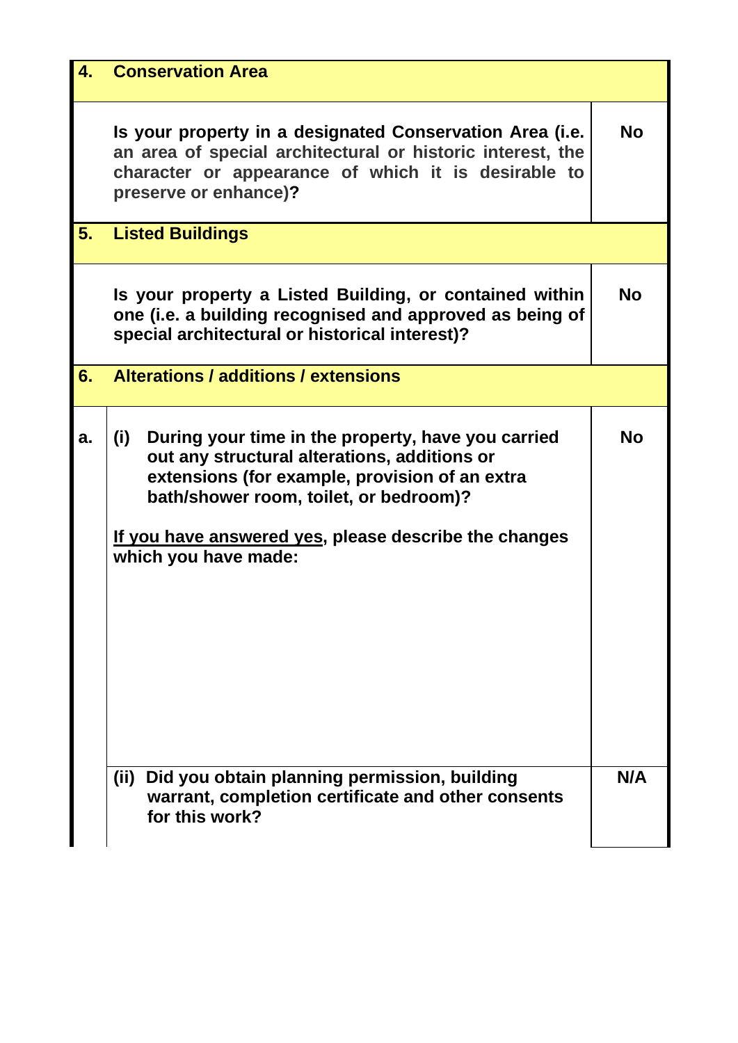| 4. | <b>Conservation Area</b>                                                                                                                                                                                                                                                               |           |
|----|----------------------------------------------------------------------------------------------------------------------------------------------------------------------------------------------------------------------------------------------------------------------------------------|-----------|
|    | Is your property in a designated Conservation Area (i.e.<br>an area of special architectural or historic interest, the<br>character or appearance of which it is desirable to<br>preserve or enhance)?                                                                                 | <b>No</b> |
| 5. | <b>Listed Buildings</b>                                                                                                                                                                                                                                                                |           |
|    | Is your property a Listed Building, or contained within<br>one (i.e. a building recognised and approved as being of<br>special architectural or historical interest)?                                                                                                                  | No        |
| 6. | Alterations / additions / extensions                                                                                                                                                                                                                                                   |           |
| a. | (i)<br>During your time in the property, have you carried<br>out any structural alterations, additions or<br>extensions (for example, provision of an extra<br>bath/shower room, toilet, or bedroom)?<br>If you have answered yes, please describe the changes<br>which you have made: | <b>No</b> |
|    | Did you obtain planning permission, building<br>(iii)<br>warrant, completion certificate and other consents<br>for this work?                                                                                                                                                          | N/A       |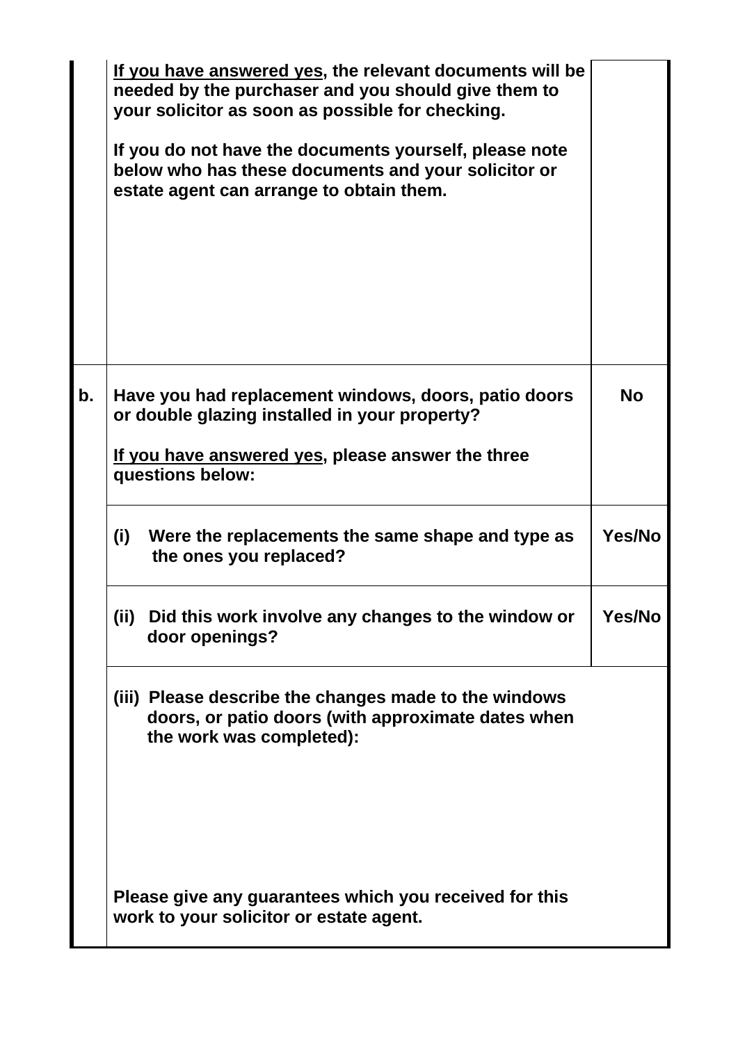|    | If you have answered yes, the relevant documents will be<br>needed by the purchaser and you should give them to<br>your solicitor as soon as possible for checking.<br>If you do not have the documents yourself, please note<br>below who has these documents and your solicitor or<br>estate agent can arrange to obtain them. |               |
|----|----------------------------------------------------------------------------------------------------------------------------------------------------------------------------------------------------------------------------------------------------------------------------------------------------------------------------------|---------------|
| b. | Have you had replacement windows, doors, patio doors<br>or double glazing installed in your property?<br><u>If you have answered yes</u> , please answer the three<br>questions below:                                                                                                                                           | <b>No</b>     |
|    | (i)<br>Were the replacements the same shape and type as<br>the ones you replaced?                                                                                                                                                                                                                                                | Yes/No        |
|    | (ii)<br>Did this work involve any changes to the window or<br>door openings?                                                                                                                                                                                                                                                     | <b>Yes/No</b> |
|    | (iii) Please describe the changes made to the windows<br>doors, or patio doors (with approximate dates when<br>the work was completed):                                                                                                                                                                                          |               |
|    | Please give any guarantees which you received for this<br>work to your solicitor or estate agent.                                                                                                                                                                                                                                |               |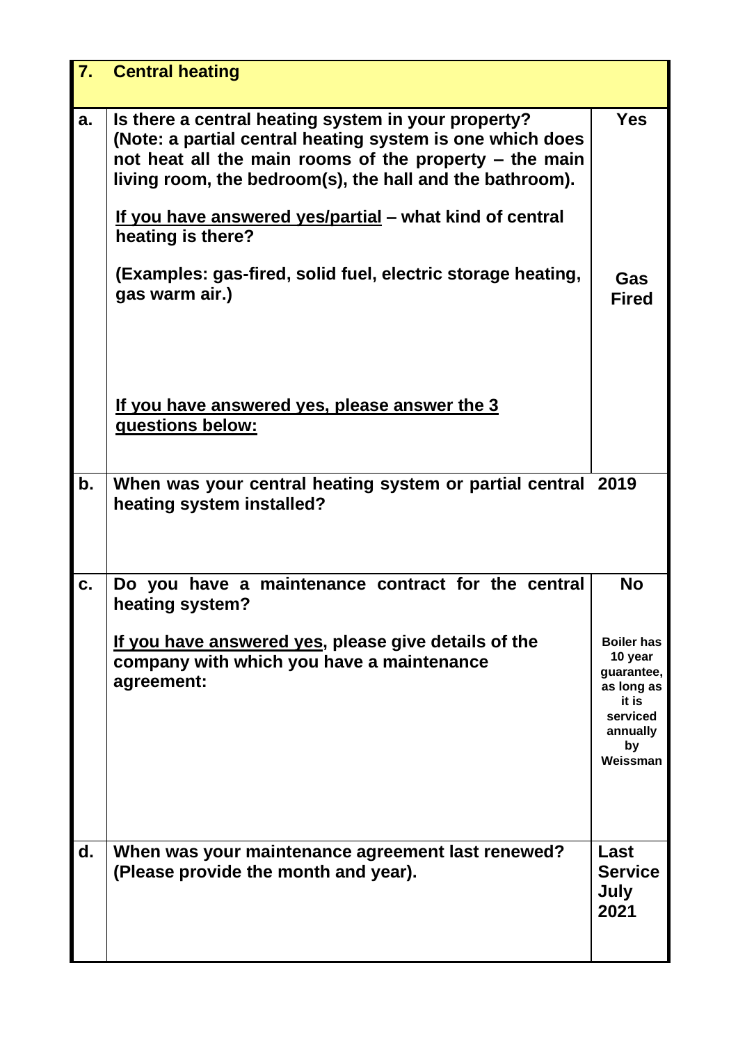| <b>7.</b>     | <b>Central heating</b>                                                                                                                                                                                                                                                                                                        |                                                                                                             |
|---------------|-------------------------------------------------------------------------------------------------------------------------------------------------------------------------------------------------------------------------------------------------------------------------------------------------------------------------------|-------------------------------------------------------------------------------------------------------------|
| a.            | Is there a central heating system in your property?<br>(Note: a partial central heating system is one which does<br>not heat all the main rooms of the property – the main<br>living room, the bedroom(s), the hall and the bathroom).<br><u>If you have answered yes/partial</u> – what kind of central<br>heating is there? | <b>Yes</b>                                                                                                  |
|               | (Examples: gas-fired, solid fuel, electric storage heating,<br>gas warm air.)                                                                                                                                                                                                                                                 | Gas<br><b>Fired</b>                                                                                         |
|               | If you have answered yes, please answer the 3<br>questions below:                                                                                                                                                                                                                                                             |                                                                                                             |
| $\mathbf b$ . | When was your central heating system or partial central 2019<br>heating system installed?                                                                                                                                                                                                                                     |                                                                                                             |
| C.            | Do you have a maintenance contract for the central<br>heating system?                                                                                                                                                                                                                                                         | No                                                                                                          |
|               | <u>If you have answered yes</u> , please give details of the<br>company with which you have a maintenance<br>agreement:                                                                                                                                                                                                       | <b>Boiler has</b><br>10 year<br>guarantee,<br>as long as<br>it is<br>serviced<br>annually<br>by<br>Weissman |
| d.            | When was your maintenance agreement last renewed?<br>(Please provide the month and year).                                                                                                                                                                                                                                     | Last<br><b>Service</b><br>July<br>2021                                                                      |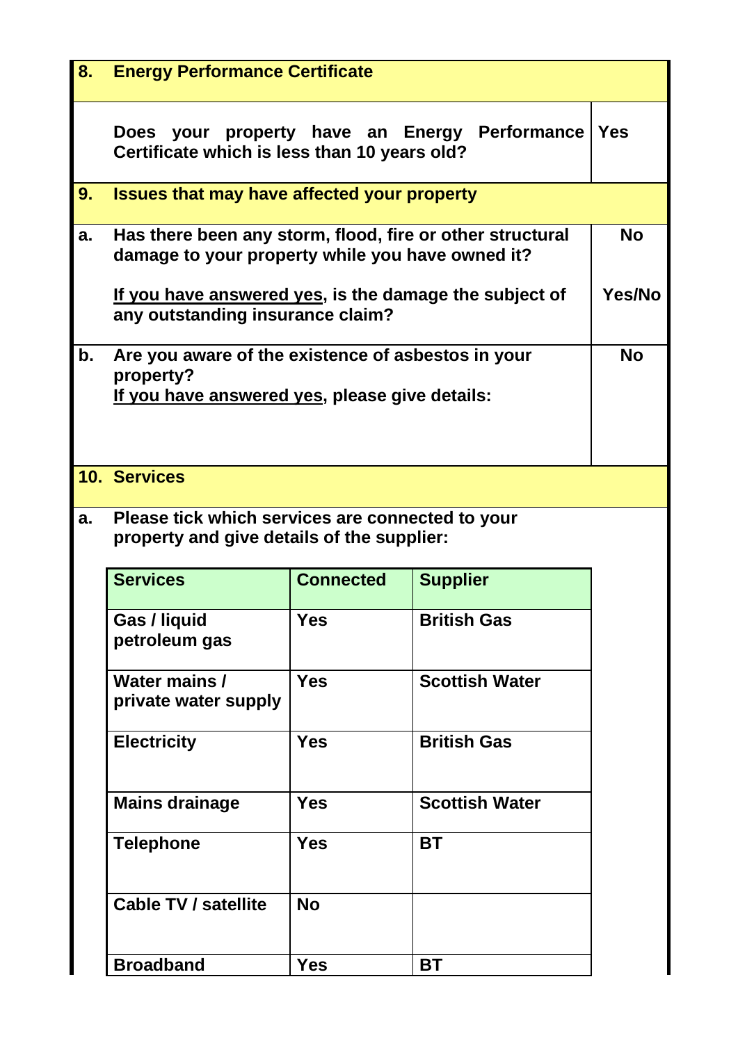| 8. | <b>Energy Performance Certificate</b>                                                                             |                  |                       |               |  |  |
|----|-------------------------------------------------------------------------------------------------------------------|------------------|-----------------------|---------------|--|--|
|    | Does your property have an Energy Performance<br>Certificate which is less than 10 years old?                     |                  |                       |               |  |  |
| 9. | <b>Issues that may have affected your property</b>                                                                |                  |                       |               |  |  |
| a. | Has there been any storm, flood, fire or other structural<br>damage to your property while you have owned it?     |                  |                       |               |  |  |
|    | If you have answered yes, is the damage the subject of<br>any outstanding insurance claim?                        |                  |                       | <b>Yes/No</b> |  |  |
| b. | Are you aware of the existence of asbestos in your<br>property?<br>If you have answered yes, please give details: |                  |                       |               |  |  |
|    | <b>10. Services</b>                                                                                               |                  |                       |               |  |  |
| a. | Please tick which services are connected to your<br>property and give details of the supplier:                    |                  |                       |               |  |  |
|    | <b>Services</b>                                                                                                   | <b>Connected</b> | <b>Supplier</b>       |               |  |  |
|    | Gas / liquid<br>petroleum gas                                                                                     | Yes              | <b>British Gas</b>    |               |  |  |
|    | Water mains /<br>private water supply                                                                             | <b>Yes</b>       | <b>Scottish Water</b> |               |  |  |
|    | <b>Electricity</b>                                                                                                | <b>Yes</b>       | <b>British Gas</b>    |               |  |  |
|    | <b>Mains drainage</b>                                                                                             | <b>Yes</b>       | <b>Scottish Water</b> |               |  |  |
|    | <b>Telephone</b>                                                                                                  | <b>Yes</b>       | <b>BT</b>             |               |  |  |
|    | <b>Cable TV / satellite</b>                                                                                       | <b>No</b>        |                       |               |  |  |
|    | <b>Broadband</b>                                                                                                  | <b>Yes</b>       | <b>BT</b>             |               |  |  |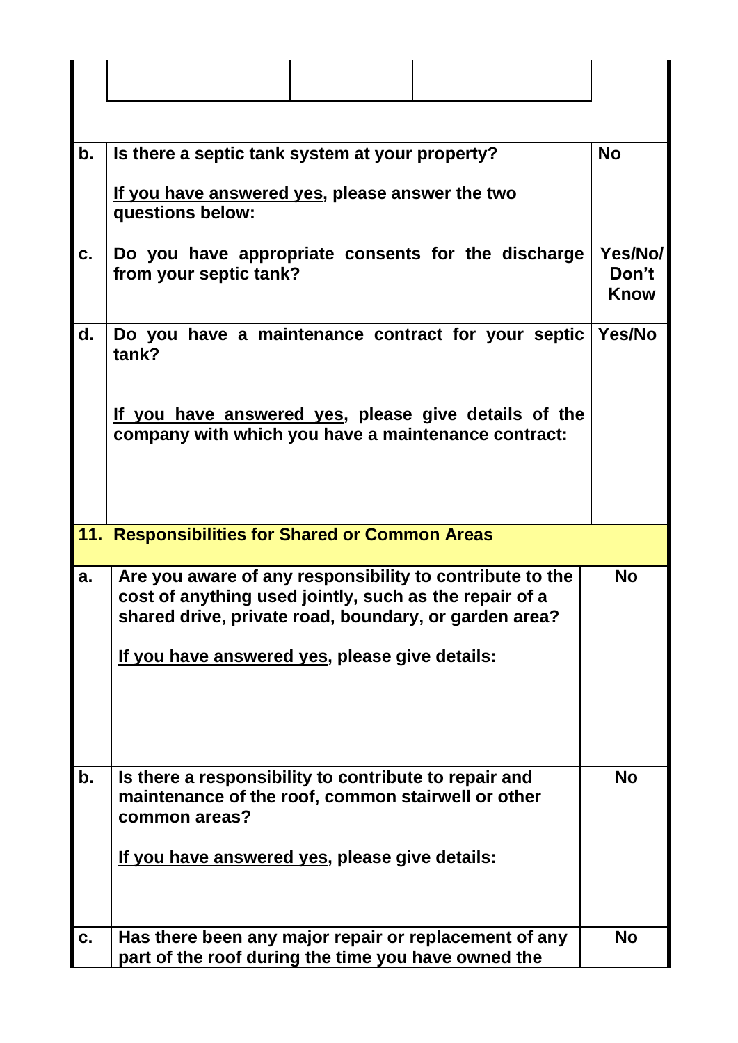| b. | Is there a septic tank system at your property?<br>If you have answered yes, please answer the two<br>questions below:                                                      | <b>No</b> |  |  |  |
|----|-----------------------------------------------------------------------------------------------------------------------------------------------------------------------------|-----------|--|--|--|
| C. | Do you have appropriate consents for the discharge<br>from your septic tank?                                                                                                |           |  |  |  |
| d. | Do you have a maintenance contract for your septic<br>tank?<br>If you have answered yes, please give details of the<br>company with which you have a maintenance contract:  | Yes/No    |  |  |  |
|    |                                                                                                                                                                             |           |  |  |  |
|    | 11. Responsibilities for Shared or Common Areas                                                                                                                             |           |  |  |  |
| a. | Are you aware of any responsibility to contribute to the<br>cost of anything used jointly, such as the repair of a<br>shared drive, private road, boundary, or garden area? | <b>No</b> |  |  |  |
|    | If you have answered yes, please give details:                                                                                                                              |           |  |  |  |
| b. | Is there a responsibility to contribute to repair and<br>maintenance of the roof, common stairwell or other<br>common areas?                                                | <b>No</b> |  |  |  |
|    | If you have answered yes, please give details:                                                                                                                              |           |  |  |  |
| C. | Has there been any major repair or replacement of any<br>part of the roof during the time you have owned the                                                                | <b>No</b> |  |  |  |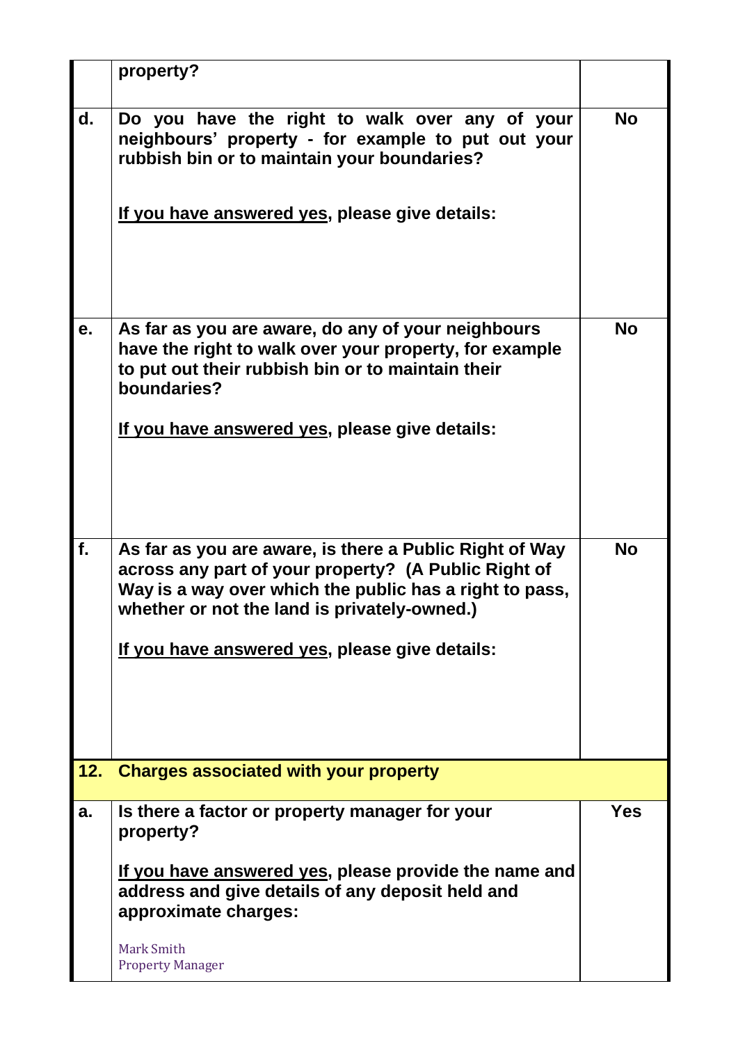|     | property?                                                                                                                                                                                                                                                                    |           |
|-----|------------------------------------------------------------------------------------------------------------------------------------------------------------------------------------------------------------------------------------------------------------------------------|-----------|
| d.  | Do you have the right to walk over any of your<br>neighbours' property - for example to put out your<br>rubbish bin or to maintain your boundaries?<br>If you have answered yes, please give details:                                                                        | <b>No</b> |
| е.  | As far as you are aware, do any of your neighbours<br>have the right to walk over your property, for example<br>to put out their rubbish bin or to maintain their<br>boundaries?<br>If you have answered yes, please give details:                                           | <b>No</b> |
| f.  | As far as you are aware, is there a Public Right of Way<br>across any part of your property? (A Public Right of<br>Way is a way over which the public has a right to pass,<br>whether or not the land is privately-owned.)<br>If you have answered yes, please give details: | <b>No</b> |
| 12. | <b>Charges associated with your property</b>                                                                                                                                                                                                                                 |           |
| a.  | Is there a factor or property manager for your<br>property?<br><u>If you have answered yes,</u> please provide the name and<br>address and give details of any deposit held and<br>approximate charges:<br>Mark Smith<br><b>Property Manager</b>                             | Yes       |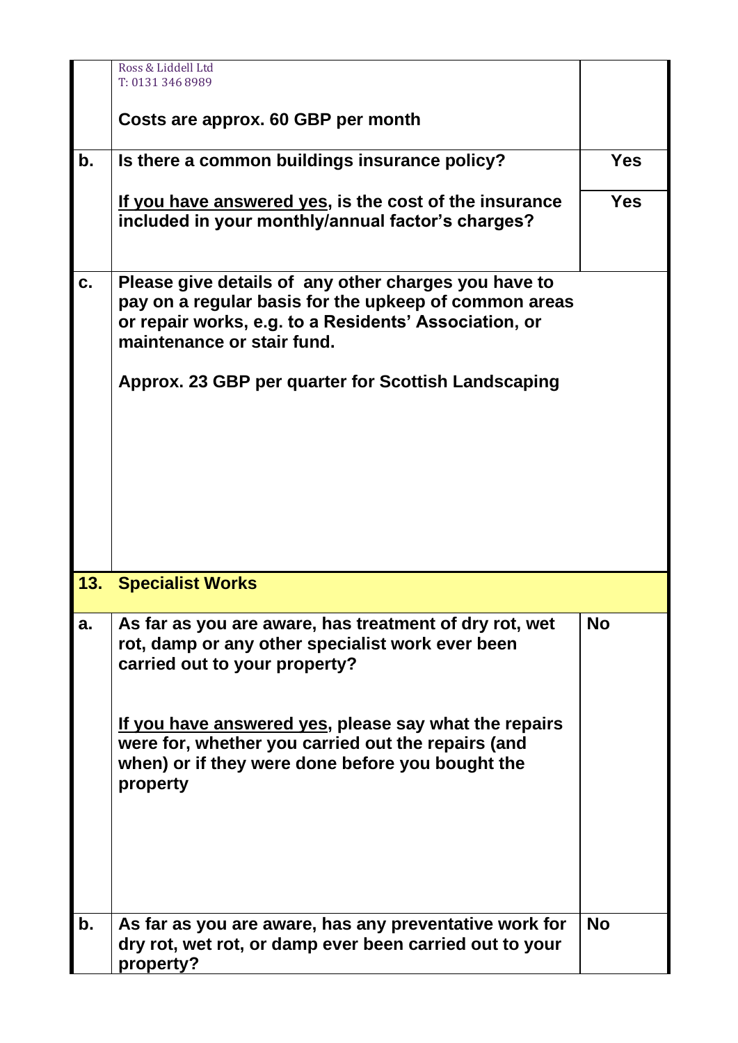|     | Ross & Liddell Ltd<br>T: 0131 346 8989                                                                                                                                                                                                                                                                                     |            |
|-----|----------------------------------------------------------------------------------------------------------------------------------------------------------------------------------------------------------------------------------------------------------------------------------------------------------------------------|------------|
|     | Costs are approx. 60 GBP per month                                                                                                                                                                                                                                                                                         |            |
| b.  | Is there a common buildings insurance policy?                                                                                                                                                                                                                                                                              | <b>Yes</b> |
|     | <u>If you have answered yes</u> , is the cost of the insurance<br>included in your monthly/annual factor's charges?                                                                                                                                                                                                        | <b>Yes</b> |
| C.  | Please give details of any other charges you have to<br>pay on a regular basis for the upkeep of common areas<br>or repair works, e.g. to a Residents' Association, or<br>maintenance or stair fund.                                                                                                                       |            |
|     | Approx. 23 GBP per quarter for Scottish Landscaping                                                                                                                                                                                                                                                                        |            |
| 13. | <b>Specialist Works</b>                                                                                                                                                                                                                                                                                                    |            |
| a.  | As far as you are aware, has treatment of dry rot, wet<br>rot, damp or any other specialist work ever been<br>carried out to your property?<br>If you have answered yes, please say what the repairs<br>were for, whether you carried out the repairs (and<br>when) or if they were done before you bought the<br>property | <b>No</b>  |
|     |                                                                                                                                                                                                                                                                                                                            |            |
| b.  | As far as you are aware, has any preventative work for<br>dry rot, wet rot, or damp ever been carried out to your<br>property?                                                                                                                                                                                             | <b>No</b>  |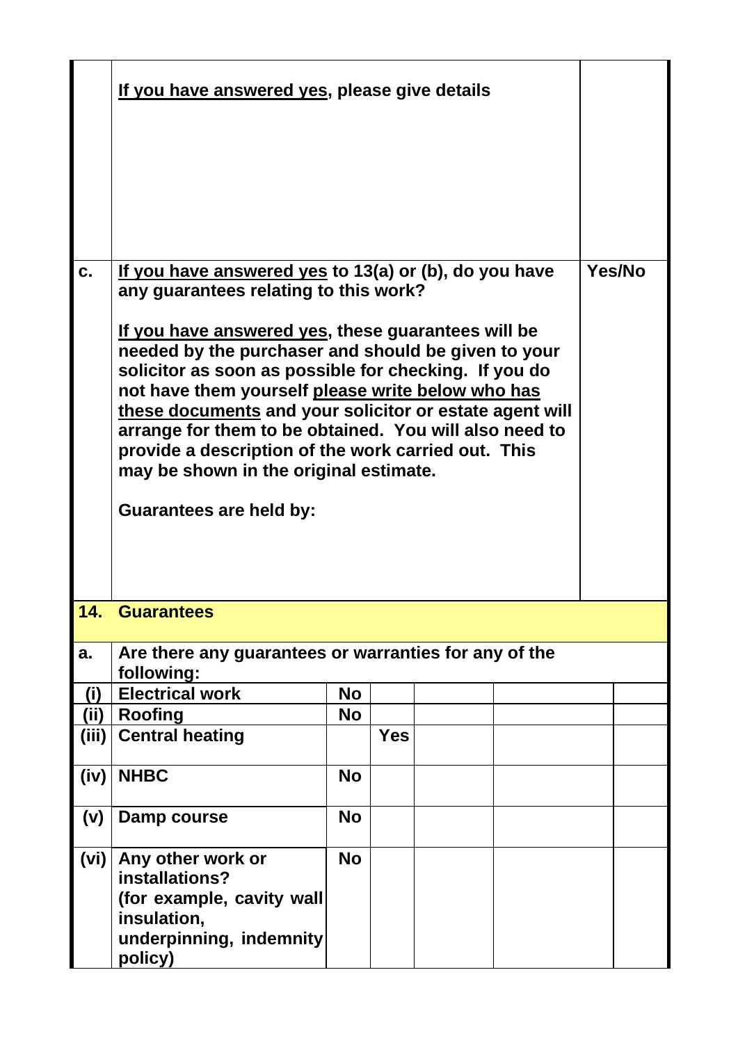|       | If you have answered yes, please give details                                                                                                                                                                                                                                                                                                                                                                                                                                                                                                                                     |           |            |  |        |
|-------|-----------------------------------------------------------------------------------------------------------------------------------------------------------------------------------------------------------------------------------------------------------------------------------------------------------------------------------------------------------------------------------------------------------------------------------------------------------------------------------------------------------------------------------------------------------------------------------|-----------|------------|--|--------|
| C.    | If you have answered yes to 13(a) or (b), do you have<br>any guarantees relating to this work?<br>If you have answered yes, these guarantees will be<br>needed by the purchaser and should be given to your<br>solicitor as soon as possible for checking. If you do<br>not have them yourself please write below who has<br>these documents and your solicitor or estate agent will<br>arrange for them to be obtained. You will also need to<br>provide a description of the work carried out. This<br>may be shown in the original estimate.<br><b>Guarantees are held by:</b> |           |            |  | Yes/No |
| 14.   | <b>Guarantees</b>                                                                                                                                                                                                                                                                                                                                                                                                                                                                                                                                                                 |           |            |  |        |
| a.    | Are there any guarantees or warranties for any of the<br>following:                                                                                                                                                                                                                                                                                                                                                                                                                                                                                                               |           |            |  |        |
| (i)   | <b>Electrical work</b>                                                                                                                                                                                                                                                                                                                                                                                                                                                                                                                                                            | <b>No</b> |            |  |        |
| (ii)  | <b>Roofing</b>                                                                                                                                                                                                                                                                                                                                                                                                                                                                                                                                                                    | <b>No</b> |            |  |        |
| (iii) | <b>Central heating</b>                                                                                                                                                                                                                                                                                                                                                                                                                                                                                                                                                            |           | <b>Yes</b> |  |        |
| (iv)  | <b>NHBC</b>                                                                                                                                                                                                                                                                                                                                                                                                                                                                                                                                                                       | <b>No</b> |            |  |        |
| (v)   | Damp course                                                                                                                                                                                                                                                                                                                                                                                                                                                                                                                                                                       | <b>No</b> |            |  |        |
| (vi)  | Any other work or<br>installations?<br>(for example, cavity wall<br>insulation,<br>underpinning, indemnity<br>policy)                                                                                                                                                                                                                                                                                                                                                                                                                                                             | <b>No</b> |            |  |        |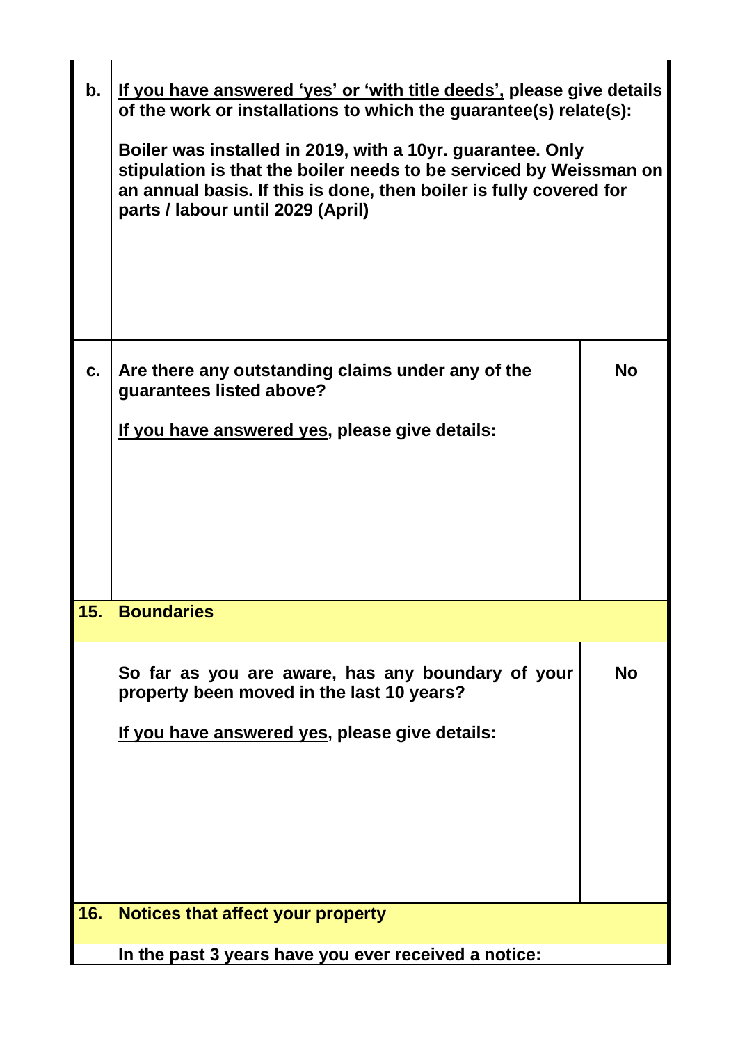| b.          | If you have answered 'yes' or 'with title deeds', please give details<br>of the work or installations to which the guarantee(s) relate(s):<br>Boiler was installed in 2019, with a 10yr. guarantee. Only<br>stipulation is that the boiler needs to be serviced by Weissman on<br>an annual basis. If this is done, then boiler is fully covered for<br>parts / labour until 2029 (April) |           |
|-------------|-------------------------------------------------------------------------------------------------------------------------------------------------------------------------------------------------------------------------------------------------------------------------------------------------------------------------------------------------------------------------------------------|-----------|
| $c_{\cdot}$ | Are there any outstanding claims under any of the<br>guarantees listed above?<br>If you have answered yes, please give details:                                                                                                                                                                                                                                                           | <b>No</b> |
| 15.         | <b>Boundaries</b>                                                                                                                                                                                                                                                                                                                                                                         |           |
|             | So far as you are aware, has any boundary of your<br>property been moved in the last 10 years?<br><u>If you have answered yes, please give details:</u>                                                                                                                                                                                                                                   | No        |
| <b>16.</b>  | Notices that affect your property                                                                                                                                                                                                                                                                                                                                                         |           |
|             | In the past 3 years have you ever received a notice:                                                                                                                                                                                                                                                                                                                                      |           |